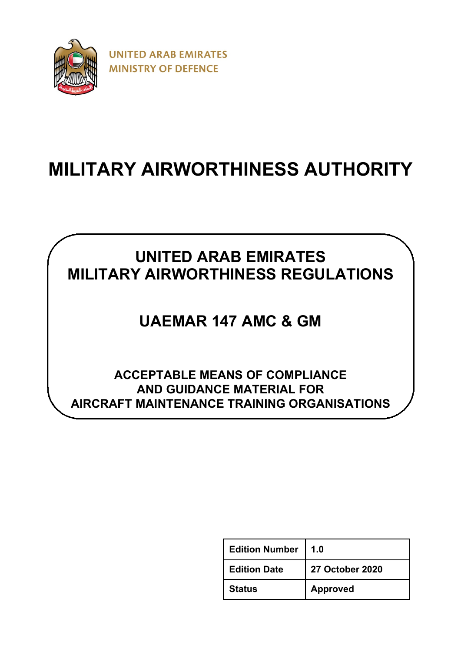

# **MILITARY AIRWORTHINESS AUTHORITY**

# **UNITED ARAB EMIRATES MILITARY AIRWORTHINESS REGULATIONS**

# **UAEMAR 147 AMC & GM**

**ACCEPTABLE MEANS OF COMPLIANCE AND GUIDANCE MATERIAL FOR AIRCRAFT MAINTENANCE TRAINING ORGANISATIONS**

| <b>Edition Number</b> | 1.0                    |
|-----------------------|------------------------|
| <b>Edition Date</b>   | <b>27 October 2020</b> |
| <b>Status</b>         | <b>Approved</b>        |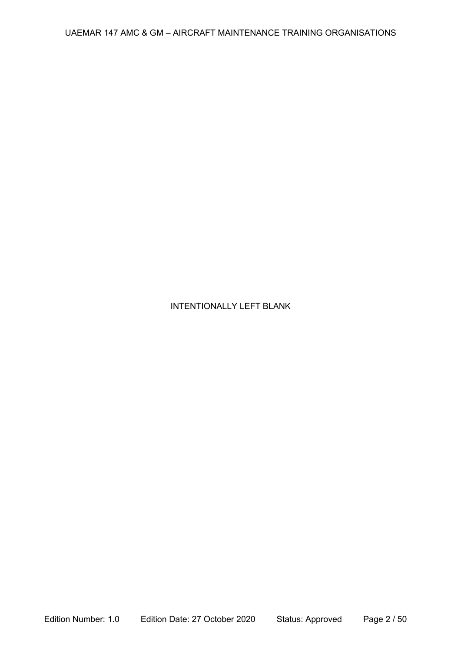#### INTENTIONALLY LEFT BLANK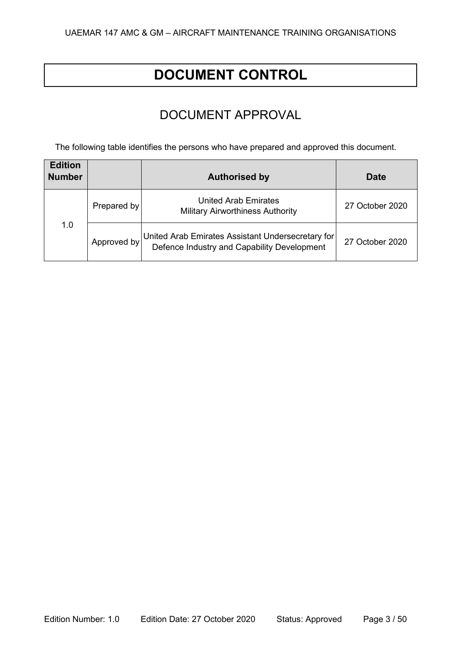### **DOCUMENT CONTROL**

### DOCUMENT APPROVAL

The following table identifies the persons who have prepared and approved this document.

| <b>Edition</b><br><b>Number</b> |             | <b>Authorised by</b>                                                                             | <b>Date</b>     |
|---------------------------------|-------------|--------------------------------------------------------------------------------------------------|-----------------|
|                                 | Prepared by | United Arab Emirates<br><b>Military Airworthiness Authority</b>                                  | 27 October 2020 |
| 1.0                             | Approved by | United Arab Emirates Assistant Undersecretary for<br>Defence Industry and Capability Development | 27 October 2020 |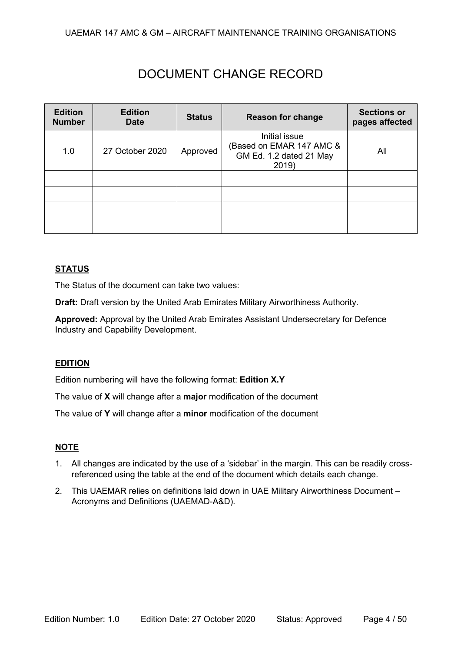### DOCUMENT CHANGE RECORD

| <b>Edition</b><br><b>Number</b> | <b>Edition</b><br><b>Date</b> | <b>Status</b> | <b>Reason for change</b>                                                      | <b>Sections or</b><br>pages affected |
|---------------------------------|-------------------------------|---------------|-------------------------------------------------------------------------------|--------------------------------------|
| 1.0                             | 27 October 2020               | Approved      | Initial issue<br>(Based on EMAR 147 AMC &<br>GM Ed. 1.2 dated 21 May<br>2019) | All                                  |
|                                 |                               |               |                                                                               |                                      |
|                                 |                               |               |                                                                               |                                      |
|                                 |                               |               |                                                                               |                                      |
|                                 |                               |               |                                                                               |                                      |

#### **STATUS**

The Status of the document can take two values:

**Draft:** Draft version by the United Arab Emirates Military Airworthiness Authority.

**Approved:** Approval by the United Arab Emirates Assistant Undersecretary for Defence Industry and Capability Development.

#### **EDITION**

Edition numbering will have the following format: **Edition X.Y**

The value of **X** will change after a **major** modification of the document

The value of **Y** will change after a **minor** modification of the document

#### **NOTE**

- 1. All changes are indicated by the use of a 'sidebar' in the margin. This can be readily crossreferenced using the table at the end of the document which details each change.
- 2. This UAEMAR relies on definitions laid down in UAE Military Airworthiness Document Acronyms and Definitions (UAEMAD-A&D).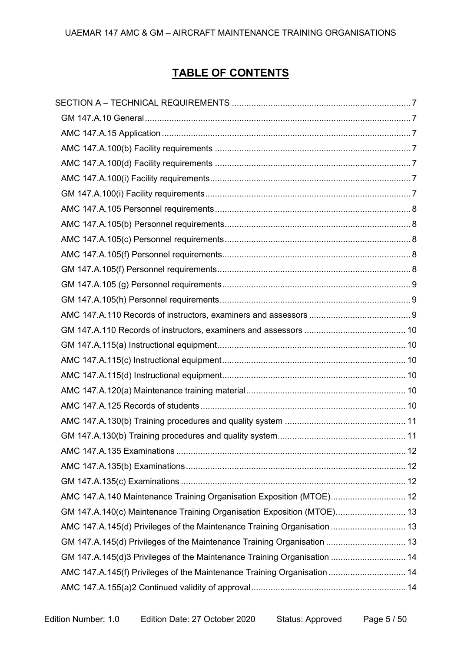### **TABLE OF CONTENTS**

| AMC 147.A.140 Maintenance Training Organisation Exposition (MTOE) 12     |  |
|--------------------------------------------------------------------------|--|
| GM 147.A.140(c) Maintenance Training Organisation Exposition (MTOE) 13   |  |
| AMC 147.A.145(d) Privileges of the Maintenance Training Organisation  13 |  |
|                                                                          |  |
| GM 147.A.145(d)3 Privileges of the Maintenance Training Organisation  14 |  |
| AMC 147.A.145(f) Privileges of the Maintenance Training Organisation  14 |  |
|                                                                          |  |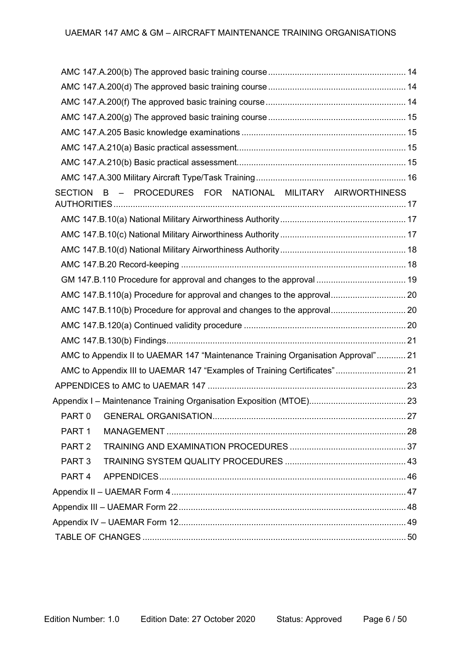| B - PROCEDURES FOR NATIONAL MILITARY AIRWORTHINESS<br><b>SECTION</b>             |  |
|----------------------------------------------------------------------------------|--|
|                                                                                  |  |
|                                                                                  |  |
|                                                                                  |  |
|                                                                                  |  |
| GM 147.B.110 Procedure for approval and changes to the approval  19              |  |
| AMC 147.B.110(a) Procedure for approval and changes to the approval 20           |  |
|                                                                                  |  |
|                                                                                  |  |
|                                                                                  |  |
| AMC to Appendix II to UAEMAR 147 "Maintenance Training Organisation Approval" 21 |  |
| AMC to Appendix III to UAEMAR 147 "Examples of Training Certificates" 21         |  |
|                                                                                  |  |
|                                                                                  |  |
| PART <sub>0</sub>                                                                |  |
| PART <sub>1</sub>                                                                |  |
| PART <sub>2</sub>                                                                |  |
| PART <sub>3</sub>                                                                |  |
| PART <sub>4</sub>                                                                |  |
|                                                                                  |  |
|                                                                                  |  |
|                                                                                  |  |
|                                                                                  |  |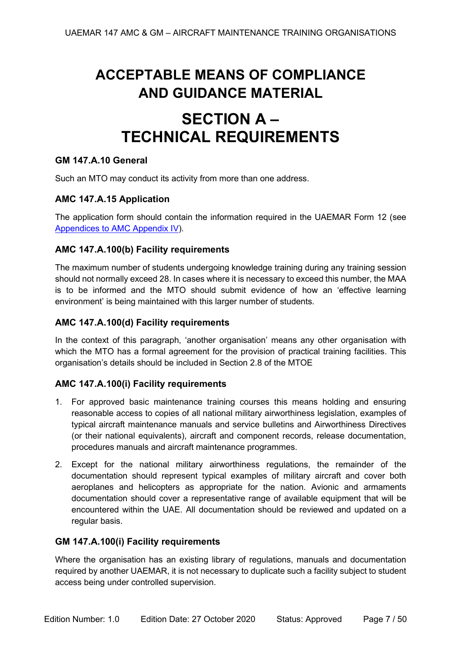# **ACCEPTABLE MEANS OF COMPLIANCE AND GUIDANCE MATERIAL**

# **SECTION A – TECHNICAL REQUIREMENTS**

#### <span id="page-6-1"></span><span id="page-6-0"></span>**GM 147.A.10 General**

Such an MTO may conduct its activity from more than one address.

#### <span id="page-6-2"></span>**AMC 147.A.15 Application**

The application form should contain the information required in the UAEMAR Form 12 (see Appendices to AMC Appendix IV).

#### <span id="page-6-3"></span>**AMC 147.A.100(b) Facility requirements**

The maximum number of students undergoing knowledge training during any training session should not normally exceed 28. In cases where it is necessary to exceed this number, the MAA is to be informed and the MTO should submit evidence of how an 'effective learning environment' is being maintained with this larger number of students.

#### <span id="page-6-4"></span>**AMC 147.A.100(d) Facility requirements**

In the context of this paragraph, 'another organisation' means any other organisation with which the MTO has a formal agreement for the provision of practical training facilities. This organisation's details should be included in Section 2.8 of the MTOE

#### <span id="page-6-5"></span>**AMC 147.A.100(i) Facility requirements**

- 1. For approved basic maintenance training courses this means holding and ensuring reasonable access to copies of all national military airworthiness legislation, examples of typical aircraft maintenance manuals and service bulletins and Airworthiness Directives (or their national equivalents), aircraft and component records, release documentation, procedures manuals and aircraft maintenance programmes.
- 2. Except for the national military airworthiness regulations, the remainder of the documentation should represent typical examples of military aircraft and cover both aeroplanes and helicopters as appropriate for the nation. Avionic and armaments documentation should cover a representative range of available equipment that will be encountered within the UAE. All documentation should be reviewed and updated on a regular basis.

#### <span id="page-6-6"></span>**GM 147.A.100(i) Facility requirements**

Where the organisation has an existing library of regulations, manuals and documentation required by another UAEMAR, it is not necessary to duplicate such a facility subject to student access being under controlled supervision.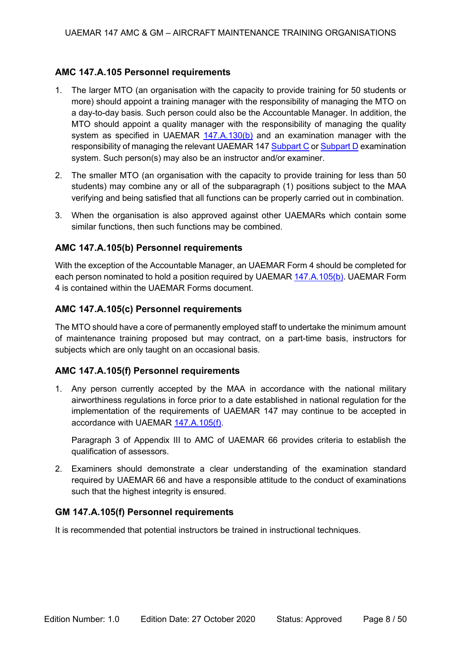#### <span id="page-7-0"></span>**AMC 147.A.105 Personnel requirements**

- 1. The larger MTO (an organisation with the capacity to provide training for 50 students or more) should appoint a training manager with the responsibility of managing the MTO on a day-to-day basis. Such person could also be the Accountable Manager. In addition, the MTO should appoint a quality manager with the responsibility of managing the quality system as specified in UAEMAR 147.A.130(b) and an examination manager with the responsibility of managing the relevant UAEMAR 147 Subpart C or Subpart D examination system. Such person(s) may also be an instructor and/or examiner.
- 2. The smaller MTO (an organisation with the capacity to provide training for less than 50 students) may combine any or all of the subparagraph (1) positions subject to the MAA verifying and being satisfied that all functions can be properly carried out in combination.
- 3. When the organisation is also approved against other UAEMARs which contain some similar functions, then such functions may be combined.

#### <span id="page-7-1"></span>**AMC 147.A.105(b) Personnel requirements**

With the exception of the Accountable Manager, an UAEMAR Form 4 should be completed for each person nominated to hold a position required by UAEMAR 147.A.105(b). UAEMAR Form 4 is contained within the UAEMAR Forms document.

#### <span id="page-7-2"></span>**AMC 147.A.105(c) Personnel requirements**

The MTO should have a core of permanently employed staff to undertake the minimum amount of maintenance training proposed but may contract, on a part-time basis, instructors for subjects which are only taught on an occasional basis.

#### <span id="page-7-3"></span>**AMC 147.A.105(f) Personnel requirements**

1. Any person currently accepted by the MAA in accordance with the national military airworthiness regulations in force prior to a date established in national regulation for the implementation of the requirements of UAEMAR 147 may continue to be accepted in accordance with UAEMAR 147.A.105(f).

Paragraph 3 of Appendix III to AMC of UAEMAR 66 provides criteria to establish the qualification of assessors.

2. Examiners should demonstrate a clear understanding of the examination standard required by UAEMAR 66 and have a responsible attitude to the conduct of examinations such that the highest integrity is ensured.

#### <span id="page-7-4"></span>**GM 147.A.105(f) Personnel requirements**

It is recommended that potential instructors be trained in instructional techniques.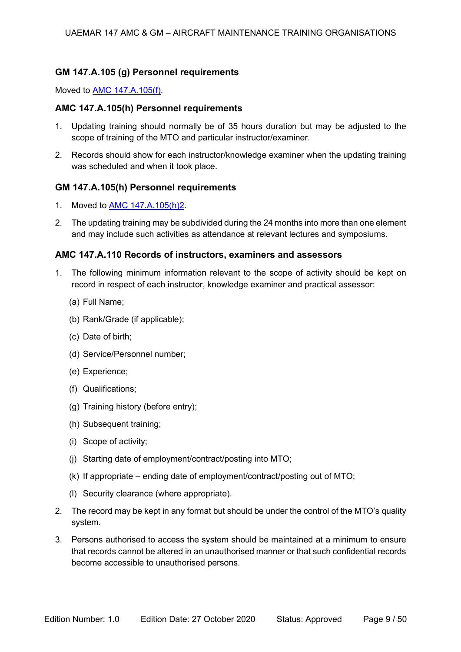#### <span id="page-8-0"></span>**GM 147.A.105 (g) Personnel requirements**

Moved to AMC 147.A.105(f).

#### **AMC 147.A.105(h) Personnel requirements**

- 1. Updating training should normally be of 35 hours duration but may be adjusted to the scope of training of the MTO and particular instructor/examiner.
- 2. Records should show for each instructor/knowledge examiner when the updating training was scheduled and when it took place.

#### <span id="page-8-1"></span>**GM 147.A.105(h) Personnel requirements**

- 1. Moved to **AMC 147.A.105(h)2.**
- 2. The updating training may be subdivided during the 24 months into more than one element and may include such activities as attendance at relevant lectures and symposiums.

#### <span id="page-8-2"></span>**AMC 147.A.110 Records of instructors, examiners and assessors**

- 1. The following minimum information relevant to the scope of activity should be kept on record in respect of each instructor, knowledge examiner and practical assessor:
	- (a) Full Name;
	- (b) Rank/Grade (if applicable);
	- (c) Date of birth;
	- (d) Service/Personnel number;
	- (e) Experience;
	- (f) Qualifications;
	- (g) Training history (before entry);
	- (h) Subsequent training;
	- (i) Scope of activity;
	- (j) Starting date of employment/contract/posting into MTO;
	- (k) If appropriate ending date of employment/contract/posting out of MTO;
	- (l) Security clearance (where appropriate).
- 2. The record may be kept in any format but should be under the control of the MTO's quality system.
- 3. Persons authorised to access the system should be maintained at a minimum to ensure that records cannot be altered in an unauthorised manner or that such confidential records become accessible to unauthorised persons.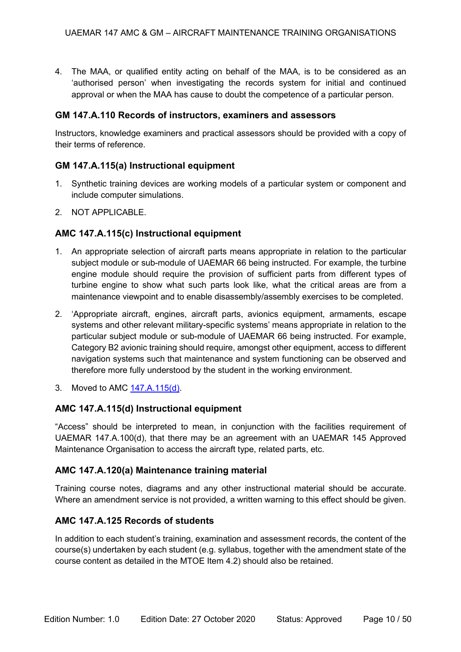4. The MAA, or qualified entity acting on behalf of the MAA, is to be considered as an 'authorised person' when investigating the records system for initial and continued approval or when the MAA has cause to doubt the competence of a particular person.

#### <span id="page-9-0"></span>**GM 147.A.110 Records of instructors, examiners and assessors**

Instructors, knowledge examiners and practical assessors should be provided with a copy of their terms of reference.

#### <span id="page-9-1"></span>**GM 147.A.115(a) Instructional equipment**

- 1. Synthetic training devices are working models of a particular system or component and include computer simulations.
- 2. NOT APPLICABLE.

#### <span id="page-9-2"></span>**AMC 147.A.115(c) Instructional equipment**

- 1. An appropriate selection of aircraft parts means appropriate in relation to the particular subject module or sub-module of UAEMAR 66 being instructed. For example, the turbine engine module should require the provision of sufficient parts from different types of turbine engine to show what such parts look like, what the critical areas are from a maintenance viewpoint and to enable disassembly/assembly exercises to be completed.
- 2. 'Appropriate aircraft, engines, aircraft parts, avionics equipment, armaments, escape systems and other relevant military-specific systems' means appropriate in relation to the particular subject module or sub-module of UAEMAR 66 being instructed. For example, Category B2 avionic training should require, amongst other equipment, access to different navigation systems such that maintenance and system functioning can be observed and therefore more fully understood by the student in the working environment.
- 3. Moved to AMC 147.A.115(d).

#### <span id="page-9-3"></span>**AMC 147.A.115(d) Instructional equipment**

"Access" should be interpreted to mean, in conjunction with the facilities requirement of UAEMAR 147.A.100(d), that there may be an agreement with an UAEMAR 145 Approved Maintenance Organisation to access the aircraft type, related parts, etc.

#### <span id="page-9-4"></span>**AMC 147.A.120(a) Maintenance training material**

Training course notes, diagrams and any other instructional material should be accurate. Where an amendment service is not provided, a written warning to this effect should be given.

#### <span id="page-9-5"></span>**AMC 147.A.125 Records of students**

In addition to each student's training, examination and assessment records, the content of the course(s) undertaken by each student (e.g. syllabus, together with the amendment state of the course content as detailed in the MTOE Item 4.2) should also be retained.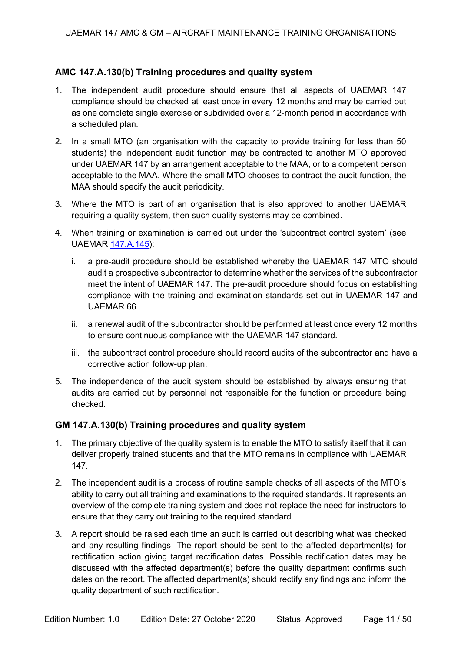#### <span id="page-10-0"></span>**AMC 147.A.130(b) Training procedures and quality system**

- 1. The independent audit procedure should ensure that all aspects of UAEMAR 147 compliance should be checked at least once in every 12 months and may be carried out as one complete single exercise or subdivided over a 12-month period in accordance with a scheduled plan.
- 2. In a small MTO (an organisation with the capacity to provide training for less than 50 students) the independent audit function may be contracted to another MTO approved under UAEMAR 147 by an arrangement acceptable to the MAA, or to a competent person acceptable to the MAA. Where the small MTO chooses to contract the audit function, the MAA should specify the audit periodicity.
- 3. Where the MTO is part of an organisation that is also approved to another UAEMAR requiring a quality system, then such quality systems may be combined.
- 4. When training or examination is carried out under the 'subcontract control system' (see UAEMAR 147.A.145):
	- i. a pre-audit procedure should be established whereby the UAEMAR 147 MTO should audit a prospective subcontractor to determine whether the services of the subcontractor meet the intent of UAEMAR 147. The pre-audit procedure should focus on establishing compliance with the training and examination standards set out in UAEMAR 147 and UAEMAR 66.
	- ii. a renewal audit of the subcontractor should be performed at least once every 12 months to ensure continuous compliance with the UAEMAR 147 standard.
	- iii. the subcontract control procedure should record audits of the subcontractor and have a corrective action follow-up plan.
- 5. The independence of the audit system should be established by always ensuring that audits are carried out by personnel not responsible for the function or procedure being checked.

#### <span id="page-10-1"></span>**GM 147.A.130(b) Training procedures and quality system**

- 1. The primary objective of the quality system is to enable the MTO to satisfy itself that it can deliver properly trained students and that the MTO remains in compliance with UAEMAR 147.
- 2. The independent audit is a process of routine sample checks of all aspects of the MTO's ability to carry out all training and examinations to the required standards. It represents an overview of the complete training system and does not replace the need for instructors to ensure that they carry out training to the required standard.
- 3. A report should be raised each time an audit is carried out describing what was checked and any resulting findings. The report should be sent to the affected department(s) for rectification action giving target rectification dates. Possible rectification dates may be discussed with the affected department(s) before the quality department confirms such dates on the report. The affected department(s) should rectify any findings and inform the quality department of such rectification.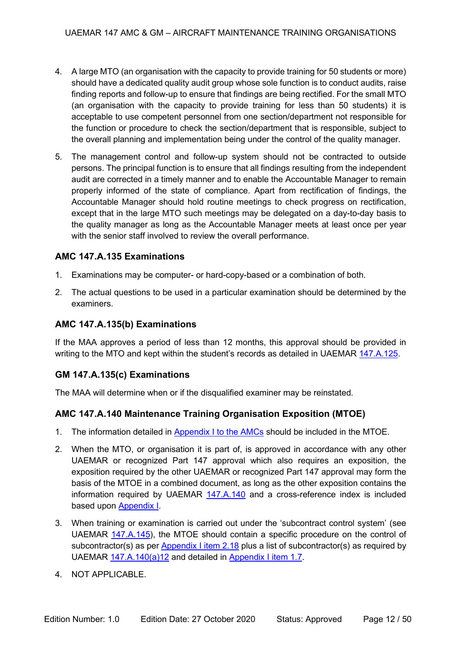- 4. A large MTO (an organisation with the capacity to provide training for 50 students or more) should have a dedicated quality audit group whose sole function is to conduct audits, raise finding reports and follow-up to ensure that findings are being rectified. For the small MTO (an organisation with the capacity to provide training for less than 50 students) it is acceptable to use competent personnel from one section/department not responsible for the function or procedure to check the section/department that is responsible, subject to the overall planning and implementation being under the control of the quality manager.
- 5. The management control and follow-up system should not be contracted to outside persons. The principal function is to ensure that all findings resulting from the independent audit are corrected in a timely manner and to enable the Accountable Manager to remain properly informed of the state of compliance. Apart from rectification of findings, the Accountable Manager should hold routine meetings to check progress on rectification, except that in the large MTO such meetings may be delegated on a day-to-day basis to the quality manager as long as the Accountable Manager meets at least once per year with the senior staff involved to review the overall performance.

#### <span id="page-11-0"></span>**AMC 147.A.135 Examinations**

- 1. Examinations may be computer- or hard-copy-based or a combination of both.
- 2. The actual questions to be used in a particular examination should be determined by the examiners.

#### <span id="page-11-1"></span>**AMC 147.A.135(b) Examinations**

If the MAA approves a period of less than 12 months, this approval should be provided in writing to the MTO and kept within the student's records as detailed in UAEMAR 147.A.125.

#### <span id="page-11-2"></span>**GM 147.A.135(c) Examinations**

The MAA will determine when or if the disqualified examiner may be reinstated.

#### <span id="page-11-3"></span>**AMC 147.A.140 Maintenance Training Organisation Exposition (MTOE)**

- 1. The information detailed in Appendix I to the AMCs should be included in the MTOE.
- 2. When the MTO, or organisation it is part of, is approved in accordance with any other UAEMAR or recognized Part 147 approval which also requires an exposition, the exposition required by the other UAEMAR or recognized Part 147 approval may form the basis of the MTOE in a combined document, as long as the other exposition contains the information required by UAEMAR 147.A.140 and a cross-reference index is included based upon Appendix I.
- 3. When training or examination is carried out under the 'subcontract control system' (see UAEMAR 147.A.145), the MTOE should contain a specific procedure on the control of subcontractor(s) as per Appendix I item 2.18 plus a list of subcontractor(s) as required by UAEMAR 147.A.140(a)12 and detailed in Appendix I item 1.7.
- 4. NOT APPLICABLE.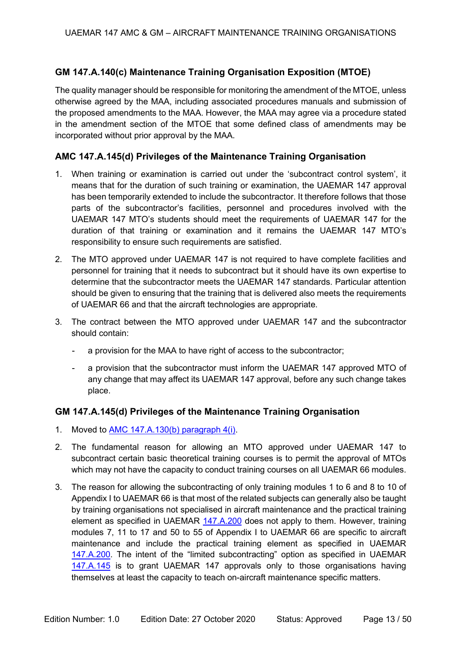#### <span id="page-12-0"></span>**GM 147.A.140(c) Maintenance Training Organisation Exposition (MTOE)**

The quality manager should be responsible for monitoring the amendment of the MTOE, unless otherwise agreed by the MAA, including associated procedures manuals and submission of the proposed amendments to the MAA. However, the MAA may agree via a procedure stated in the amendment section of the MTOE that some defined class of amendments may be incorporated without prior approval by the MAA.

#### <span id="page-12-1"></span>**AMC 147.A.145(d) Privileges of the Maintenance Training Organisation**

- 1. When training or examination is carried out under the 'subcontract control system', it means that for the duration of such training or examination, the UAEMAR 147 approval has been temporarily extended to include the subcontractor. It therefore follows that those parts of the subcontractor's facilities, personnel and procedures involved with the UAEMAR 147 MTO's students should meet the requirements of UAEMAR 147 for the duration of that training or examination and it remains the UAEMAR 147 MTO's responsibility to ensure such requirements are satisfied.
- 2. The MTO approved under UAEMAR 147 is not required to have complete facilities and personnel for training that it needs to subcontract but it should have its own expertise to determine that the subcontractor meets the UAEMAR 147 standards. Particular attention should be given to ensuring that the training that is delivered also meets the requirements of UAEMAR 66 and that the aircraft technologies are appropriate.
- 3. The contract between the MTO approved under UAEMAR 147 and the subcontractor should contain:
	- a provision for the MAA to have right of access to the subcontractor;
	- a provision that the subcontractor must inform the UAEMAR 147 approved MTO of any change that may affect its UAEMAR 147 approval, before any such change takes place.

#### <span id="page-12-2"></span>**GM 147.A.145(d) Privileges of the Maintenance Training Organisation**

- 1. Moved to AMC 147.A.130(b) paragraph 4(i).
- 2. The fundamental reason for allowing an MTO approved under UAEMAR 147 to subcontract certain basic theoretical training courses is to permit the approval of MTOs which may not have the capacity to conduct training courses on all UAEMAR 66 modules.
- 3. The reason for allowing the subcontracting of only training modules 1 to 6 and 8 to 10 of Appendix I to UAEMAR 66 is that most of the related subjects can generally also be taught by training organisations not specialised in aircraft maintenance and the practical training element as specified in UAEMAR 147.A.200 does not apply to them. However, training modules 7, 11 to 17 and 50 to 55 of Appendix I to UAEMAR 66 are specific to aircraft maintenance and include the practical training element as specified in UAEMAR 147.A.200. The intent of the "limited subcontracting" option as specified in UAEMAR 147.A.145 is to grant UAEMAR 147 approvals only to those organisations having themselves at least the capacity to teach on-aircraft maintenance specific matters.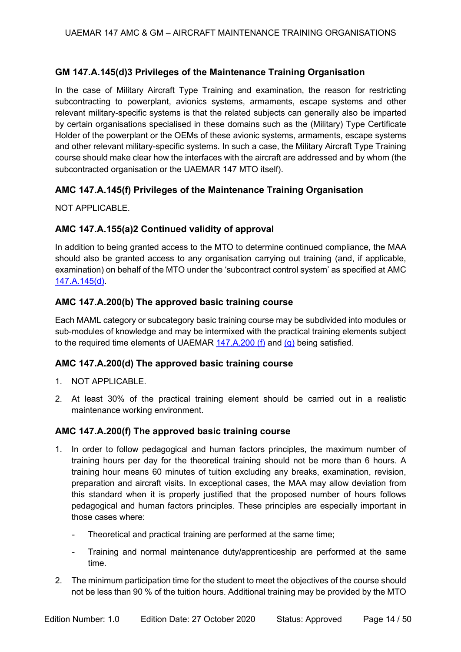#### <span id="page-13-0"></span>**GM 147.A.145(d)3 Privileges of the Maintenance Training Organisation**

In the case of Military Aircraft Type Training and examination, the reason for restricting subcontracting to powerplant, avionics systems, armaments, escape systems and other relevant military-specific systems is that the related subjects can generally also be imparted by certain organisations specialised in these domains such as the (Military) Type Certificate Holder of the powerplant or the OEMs of these avionic systems, armaments, escape systems and other relevant military-specific systems. In such a case, the Military Aircraft Type Training course should make clear how the interfaces with the aircraft are addressed and by whom (the subcontracted organisation or the UAEMAR 147 MTO itself).

#### <span id="page-13-1"></span>**AMC 147.A.145(f) Privileges of the Maintenance Training Organisation**

NOT APPLICABLE.

#### <span id="page-13-2"></span>**AMC 147.A.155(a)2 Continued validity of approval**

In addition to being granted access to the MTO to determine continued compliance, the MAA should also be granted access to any organisation carrying out training (and, if applicable, examination) on behalf of the MTO under the 'subcontract control system' as specified at AMC 147.A.145(d).

#### <span id="page-13-3"></span>**AMC 147.A.200(b) The approved basic training course**

Each MAML category or subcategory basic training course may be subdivided into modules or sub-modules of knowledge and may be intermixed with the practical training elements subject to the required time elements of UAEMAR  $147.A.200 (f)$  and  $(g)$  being satisfied.

#### <span id="page-13-4"></span>**AMC 147.A.200(d) The approved basic training course**

- 1 NOT APPLICABLE
- 2. At least 30% of the practical training element should be carried out in a realistic maintenance working environment.

#### <span id="page-13-5"></span>**AMC 147.A.200(f) The approved basic training course**

- 1. In order to follow pedagogical and human factors principles, the maximum number of training hours per day for the theoretical training should not be more than 6 hours. A training hour means 60 minutes of tuition excluding any breaks, examination, revision, preparation and aircraft visits. In exceptional cases, the MAA may allow deviation from this standard when it is properly justified that the proposed number of hours follows pedagogical and human factors principles. These principles are especially important in those cases where:
	- Theoretical and practical training are performed at the same time;
	- Training and normal maintenance duty/apprenticeship are performed at the same time.
- 2. The minimum participation time for the student to meet the objectives of the course should not be less than 90 % of the tuition hours. Additional training may be provided by the MTO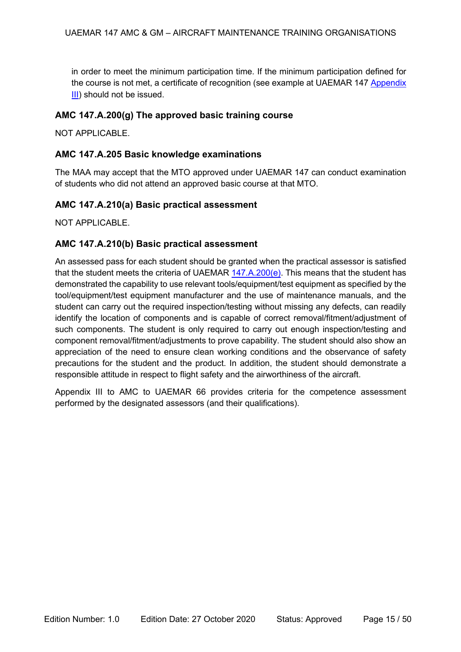in order to meet the minimum participation time. If the minimum participation defined for the course is not met, a certificate of recognition (see example at UAEMAR 147 Appendix III) should not be issued.

#### <span id="page-14-0"></span>**AMC 147.A.200(g) The approved basic training course**

NOT APPLICABLE.

#### <span id="page-14-1"></span>**AMC 147.A.205 Basic knowledge examinations**

The MAA may accept that the MTO approved under UAEMAR 147 can conduct examination of students who did not attend an approved basic course at that MTO.

#### <span id="page-14-2"></span>**AMC 147.A.210(a) Basic practical assessment**

NOT APPLICABLE.

#### <span id="page-14-3"></span>**AMC 147.A.210(b) Basic practical assessment**

An assessed pass for each student should be granted when the practical assessor is satisfied that the student meets the criteria of UAEMAR 147.A.200(e). This means that the student has demonstrated the capability to use relevant tools/equipment/test equipment as specified by the tool/equipment/test equipment manufacturer and the use of maintenance manuals, and the student can carry out the required inspection/testing without missing any defects, can readily identify the location of components and is capable of correct removal/fitment/adjustment of such components. The student is only required to carry out enough inspection/testing and component removal/fitment/adjustments to prove capability. The student should also show an appreciation of the need to ensure clean working conditions and the observance of safety precautions for the student and the product. In addition, the student should demonstrate a responsible attitude in respect to flight safety and the airworthiness of the aircraft.

Appendix III to AMC to UAEMAR 66 provides criteria for the competence assessment performed by the designated assessors (and their qualifications).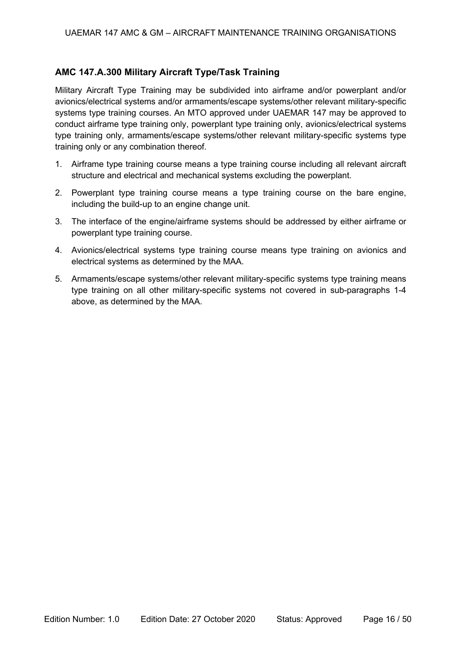#### <span id="page-15-0"></span>**AMC 147.A.300 Military Aircraft Type/Task Training**

Military Aircraft Type Training may be subdivided into airframe and/or powerplant and/or avionics/electrical systems and/or armaments/escape systems/other relevant military-specific systems type training courses. An MTO approved under UAEMAR 147 may be approved to conduct airframe type training only, powerplant type training only, avionics/electrical systems type training only, armaments/escape systems/other relevant military-specific systems type training only or any combination thereof.

- 1. Airframe type training course means a type training course including all relevant aircraft structure and electrical and mechanical systems excluding the powerplant.
- 2. Powerplant type training course means a type training course on the bare engine, including the build-up to an engine change unit.
- 3. The interface of the engine/airframe systems should be addressed by either airframe or powerplant type training course.
- 4. Avionics/electrical systems type training course means type training on avionics and electrical systems as determined by the MAA.
- 5. Armaments/escape systems/other relevant military-specific systems type training means type training on all other military-specific systems not covered in sub-paragraphs 1-4 above, as determined by the MAA.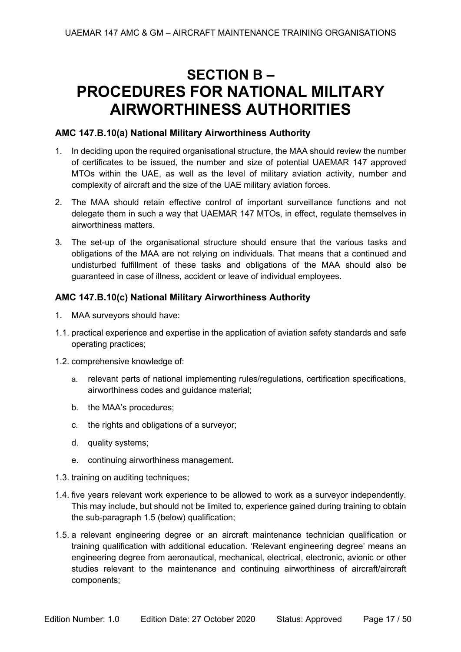# <span id="page-16-0"></span>**SECTION B – PROCEDURES FOR NATIONAL MILITARY AIRWORTHINESS AUTHORITIES**

#### <span id="page-16-1"></span>**AMC 147.B.10(a) National Military Airworthiness Authority**

- 1. In deciding upon the required organisational structure, the MAA should review the number of certificates to be issued, the number and size of potential UAEMAR 147 approved MTOs within the UAE, as well as the level of military aviation activity, number and complexity of aircraft and the size of the UAE military aviation forces.
- 2. The MAA should retain effective control of important surveillance functions and not delegate them in such a way that UAEMAR 147 MTOs, in effect, regulate themselves in airworthiness matters.
- 3. The set-up of the organisational structure should ensure that the various tasks and obligations of the MAA are not relying on individuals. That means that a continued and undisturbed fulfillment of these tasks and obligations of the MAA should also be guaranteed in case of illness, accident or leave of individual employees.

#### <span id="page-16-2"></span>**AMC 147.B.10(c) National Military Airworthiness Authority**

- 1. MAA surveyors should have:
- 1.1. practical experience and expertise in the application of aviation safety standards and safe operating practices;
- 1.2. comprehensive knowledge of:
	- a. relevant parts of national implementing rules/regulations, certification specifications, airworthiness codes and guidance material;
	- b. the MAA's procedures;
	- c. the rights and obligations of a surveyor;
	- d. quality systems;
	- e. continuing airworthiness management.
- 1.3. training on auditing techniques;
- 1.4. five years relevant work experience to be allowed to work as a surveyor independently. This may include, but should not be limited to, experience gained during training to obtain the sub-paragraph 1.5 (below) qualification;
- 1.5. a relevant engineering degree or an aircraft maintenance technician qualification or training qualification with additional education. 'Relevant engineering degree' means an engineering degree from aeronautical, mechanical, electrical, electronic, avionic or other studies relevant to the maintenance and continuing airworthiness of aircraft/aircraft components;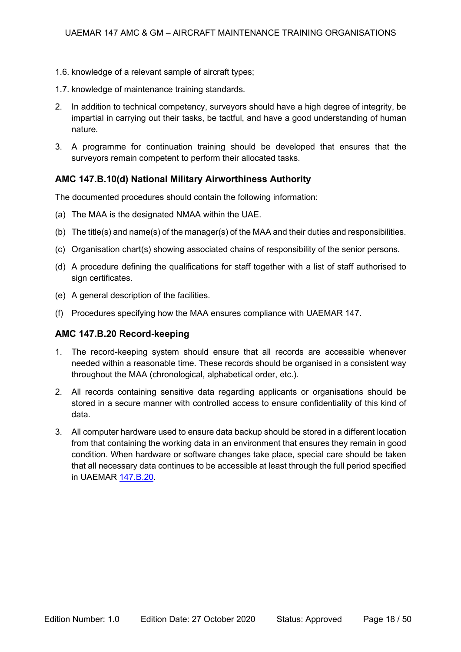- 1.6. knowledge of a relevant sample of aircraft types;
- 1.7. knowledge of maintenance training standards.
- 2. In addition to technical competency, surveyors should have a high degree of integrity, be impartial in carrying out their tasks, be tactful, and have a good understanding of human nature.
- 3. A programme for continuation training should be developed that ensures that the surveyors remain competent to perform their allocated tasks.

#### <span id="page-17-0"></span>**AMC 147.B.10(d) National Military Airworthiness Authority**

The documented procedures should contain the following information:

- (a) The MAA is the designated NMAA within the UAE.
- (b) The title(s) and name(s) of the manager(s) of the MAA and their duties and responsibilities.
- (c) Organisation chart(s) showing associated chains of responsibility of the senior persons.
- (d) A procedure defining the qualifications for staff together with a list of staff authorised to sign certificates.
- (e) A general description of the facilities.
- (f) Procedures specifying how the MAA ensures compliance with UAEMAR 147.

#### <span id="page-17-1"></span>**AMC 147.B.20 Record-keeping**

- 1. The record-keeping system should ensure that all records are accessible whenever needed within a reasonable time. These records should be organised in a consistent way throughout the MAA (chronological, alphabetical order, etc.).
- 2. All records containing sensitive data regarding applicants or organisations should be stored in a secure manner with controlled access to ensure confidentiality of this kind of data.
- 3. All computer hardware used to ensure data backup should be stored in a different location from that containing the working data in an environment that ensures they remain in good condition. When hardware or software changes take place, special care should be taken that all necessary data continues to be accessible at least through the full period specified in UAEMAR 147.B.20.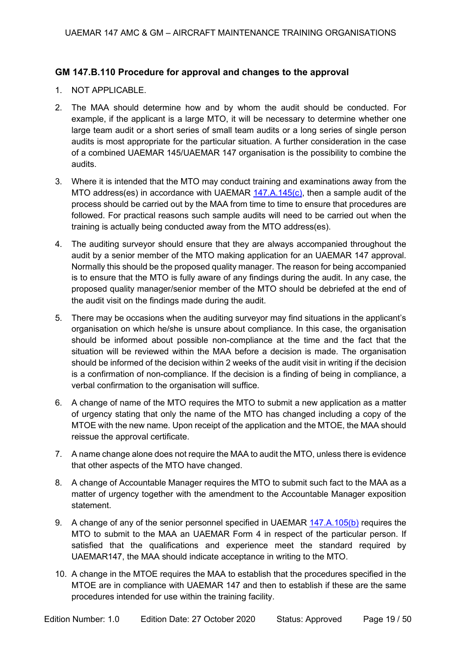#### <span id="page-18-0"></span>**GM 147.B.110 Procedure for approval and changes to the approval**

- 1. NOT APPLICABLE.
- 2. The MAA should determine how and by whom the audit should be conducted. For example, if the applicant is a large MTO, it will be necessary to determine whether one large team audit or a short series of small team audits or a long series of single person audits is most appropriate for the particular situation. A further consideration in the case of a combined UAEMAR 145/UAEMAR 147 organisation is the possibility to combine the audits.
- 3. Where it is intended that the MTO may conduct training and examinations away from the MTO address(es) in accordance with UAEMAR 147.A.145(c), then a sample audit of the process should be carried out by the MAA from time to time to ensure that procedures are followed. For practical reasons such sample audits will need to be carried out when the training is actually being conducted away from the MTO address(es).
- 4. The auditing surveyor should ensure that they are always accompanied throughout the audit by a senior member of the MTO making application for an UAEMAR 147 approval. Normally this should be the proposed quality manager. The reason for being accompanied is to ensure that the MTO is fully aware of any findings during the audit. In any case, the proposed quality manager/senior member of the MTO should be debriefed at the end of the audit visit on the findings made during the audit.
- 5. There may be occasions when the auditing surveyor may find situations in the applicant's organisation on which he/she is unsure about compliance. In this case, the organisation should be informed about possible non-compliance at the time and the fact that the situation will be reviewed within the MAA before a decision is made. The organisation should be informed of the decision within 2 weeks of the audit visit in writing if the decision is a confirmation of non-compliance. If the decision is a finding of being in compliance, a verbal confirmation to the organisation will suffice.
- 6. A change of name of the MTO requires the MTO to submit a new application as a matter of urgency stating that only the name of the MTO has changed including a copy of the MTOE with the new name. Upon receipt of the application and the MTOE, the MAA should reissue the approval certificate.
- 7. A name change alone does not require the MAA to audit the MTO, unless there is evidence that other aspects of the MTO have changed.
- 8. A change of Accountable Manager requires the MTO to submit such fact to the MAA as a matter of urgency together with the amendment to the Accountable Manager exposition statement.
- 9. A change of any of the senior personnel specified in UAEMAR 147.A.105(b) requires the MTO to submit to the MAA an UAEMAR Form 4 in respect of the particular person. If satisfied that the qualifications and experience meet the standard required by UAEMAR147, the MAA should indicate acceptance in writing to the MTO.
- 10. A change in the MTOE requires the MAA to establish that the procedures specified in the MTOE are in compliance with UAEMAR 147 and then to establish if these are the same procedures intended for use within the training facility.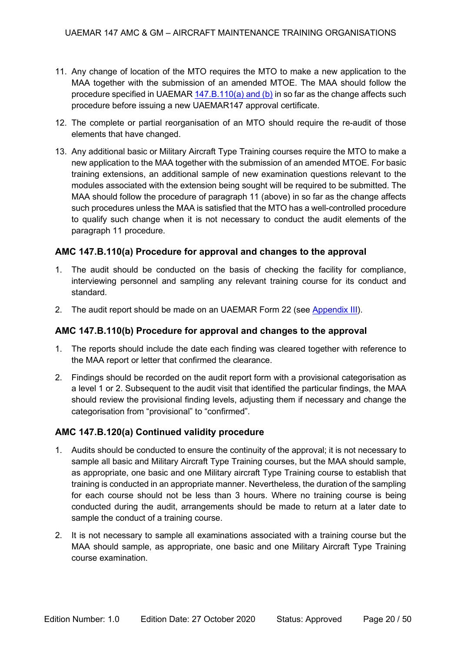- 11. Any change of location of the MTO requires the MTO to make a new application to the MAA together with the submission of an amended MTOE. The MAA should follow the procedure specified in UAEMAR  $147.B.110(a)$  and (b) in so far as the change affects such procedure before issuing a new UAEMAR147 approval certificate.
- 12. The complete or partial reorganisation of an MTO should require the re-audit of those elements that have changed.
- 13. Any additional basic or Military Aircraft Type Training courses require the MTO to make a new application to the MAA together with the submission of an amended MTOE. For basic training extensions, an additional sample of new examination questions relevant to the modules associated with the extension being sought will be required to be submitted. The MAA should follow the procedure of paragraph 11 (above) in so far as the change affects such procedures unless the MAA is satisfied that the MTO has a well-controlled procedure to qualify such change when it is not necessary to conduct the audit elements of the paragraph 11 procedure.

#### <span id="page-19-0"></span>**AMC 147.B.110(a) Procedure for approval and changes to the approval**

- 1. The audit should be conducted on the basis of checking the facility for compliance, interviewing personnel and sampling any relevant training course for its conduct and standard.
- 2. The audit report should be made on an UAEMAR Form 22 (see Appendix III).

#### <span id="page-19-1"></span>**AMC 147.B.110(b) Procedure for approval and changes to the approval**

- 1. The reports should include the date each finding was cleared together with reference to the MAA report or letter that confirmed the clearance.
- 2. Findings should be recorded on the audit report form with a provisional categorisation as a level 1 or 2. Subsequent to the audit visit that identified the particular findings, the MAA should review the provisional finding levels, adjusting them if necessary and change the categorisation from "provisional" to "confirmed".

#### <span id="page-19-2"></span>**AMC 147.B.120(a) Continued validity procedure**

- 1. Audits should be conducted to ensure the continuity of the approval; it is not necessary to sample all basic and Military Aircraft Type Training courses, but the MAA should sample, as appropriate, one basic and one Military aircraft Type Training course to establish that training is conducted in an appropriate manner. Nevertheless, the duration of the sampling for each course should not be less than 3 hours. Where no training course is being conducted during the audit, arrangements should be made to return at a later date to sample the conduct of a training course.
- 2. It is not necessary to sample all examinations associated with a training course but the MAA should sample, as appropriate, one basic and one Military Aircraft Type Training course examination.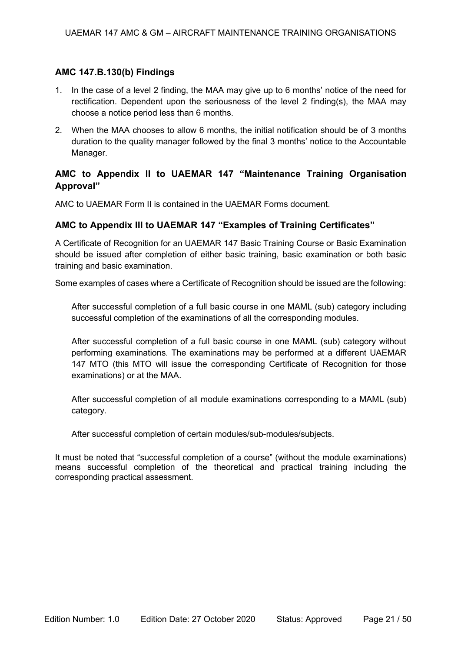#### <span id="page-20-0"></span>**AMC 147.B.130(b) Findings**

- 1. In the case of a level 2 finding, the MAA may give up to 6 months' notice of the need for rectification. Dependent upon the seriousness of the level 2 finding(s), the MAA may choose a notice period less than 6 months.
- 2. When the MAA chooses to allow 6 months, the initial notification should be of 3 months duration to the quality manager followed by the final 3 months' notice to the Accountable Manager.

#### <span id="page-20-1"></span>**AMC to Appendix II to UAEMAR 147 "Maintenance Training Organisation Approval"**

AMC to UAEMAR Form II is contained in the UAEMAR Forms document.

#### <span id="page-20-2"></span>**AMC to Appendix III to UAEMAR 147 "Examples of Training Certificates"**

A Certificate of Recognition for an UAEMAR 147 Basic Training Course or Basic Examination should be issued after completion of either basic training, basic examination or both basic training and basic examination.

Some examples of cases where a Certificate of Recognition should be issued are the following:

After successful completion of a full basic course in one MAML (sub) category including successful completion of the examinations of all the corresponding modules.

After successful completion of a full basic course in one MAML (sub) category without performing examinations. The examinations may be performed at a different UAEMAR 147 MTO (this MTO will issue the corresponding Certificate of Recognition for those examinations) or at the MAA.

After successful completion of all module examinations corresponding to a MAML (sub) category.

After successful completion of certain modules/sub-modules/subjects.

It must be noted that "successful completion of a course" (without the module examinations) means successful completion of the theoretical and practical training including the corresponding practical assessment.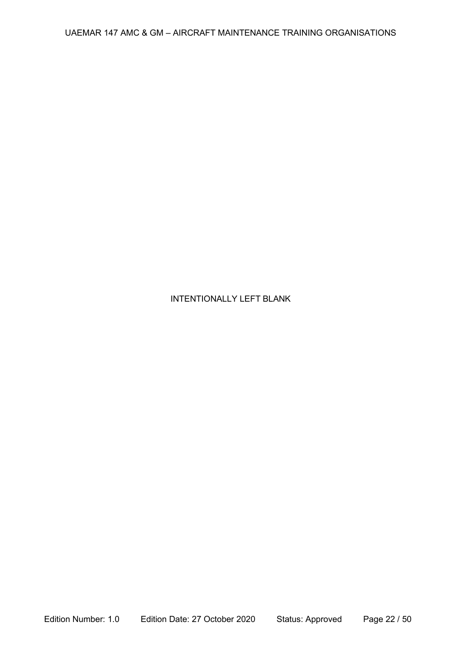#### INTENTIONALLY LEFT BLANK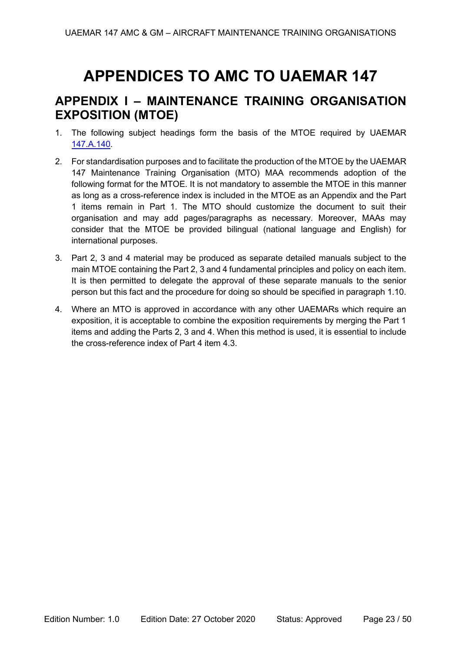# **APPENDICES TO AMC TO UAEMAR 147**

### <span id="page-22-1"></span><span id="page-22-0"></span>**APPENDIX I – MAINTENANCE TRAINING ORGANISATION EXPOSITION (MTOE)**

- 1. The following subject headings form the basis of the MTOE required by UAEMAR 147.A.140.
- 2. For standardisation purposes and to facilitate the production of the MTOE by the UAEMAR 147 Maintenance Training Organisation (MTO) MAA recommends adoption of the following format for the MTOE. It is not mandatory to assemble the MTOE in this manner as long as a cross-reference index is included in the MTOE as an Appendix and the Part 1 items remain in Part 1. The MTO should customize the document to suit their organisation and may add pages/paragraphs as necessary. Moreover, MAAs may consider that the MTOE be provided bilingual (national language and English) for international purposes.
- 3. Part 2, 3 and 4 material may be produced as separate detailed manuals subject to the main MTOE containing the Part 2, 3 and 4 fundamental principles and policy on each item. It is then permitted to delegate the approval of these separate manuals to the senior person but this fact and the procedure for doing so should be specified in paragraph 1.10.
- 4. Where an MTO is approved in accordance with any other UAEMARs which require an exposition, it is acceptable to combine the exposition requirements by merging the Part 1 items and adding the Parts 2, 3 and 4. When this method is used, it is essential to include the cross-reference index of Part 4 item 4.3.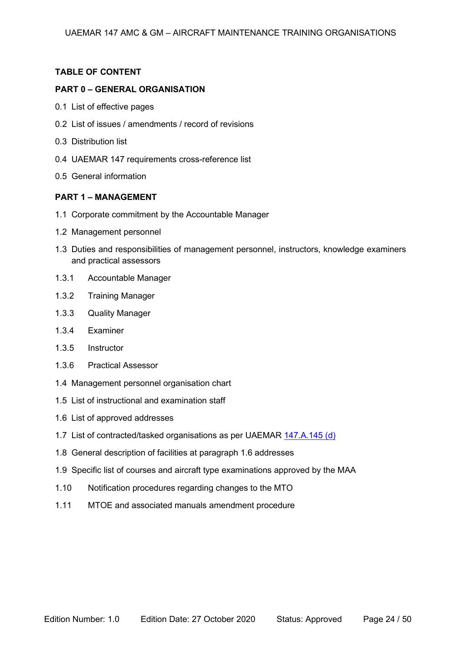#### **TABLE OF CONTENT**

#### **PART 0 – GENERAL ORGANISATION**

- 0.1 List of effective pages
- 0.2 List of issues / amendments / record of revisions
- 0.3 Distribution list
- 0.4 UAEMAR 147 requirements cross-reference list
- 0.5 General information

#### **PART 1 – MANAGEMENT**

- 1.1 Corporate commitment by the Accountable Manager
- 1.2 Management personnel
- 1.3 Duties and responsibilities of management personnel, instructors, knowledge examiners and practical assessors
- 1.3.1 Accountable Manager
- 1.3.2 Training Manager
- 1.3.3 Quality Manager
- 1.3.4 Examiner
- 1.3.5 Instructor
- 1.3.6 Practical Assessor
- 1.4 Management personnel organisation chart
- 1.5 List of instructional and examination staff
- 1.6 List of approved addresses
- 1.7 List of contracted/tasked organisations as per UAEMAR 147.A.145 (d)
- 1.8 General description of facilities at paragraph 1.6 addresses
- 1.9 Specific list of courses and aircraft type examinations approved by the MAA
- 1.10 Notification procedures regarding changes to the MTO
- 1.11 MTOE and associated manuals amendment procedure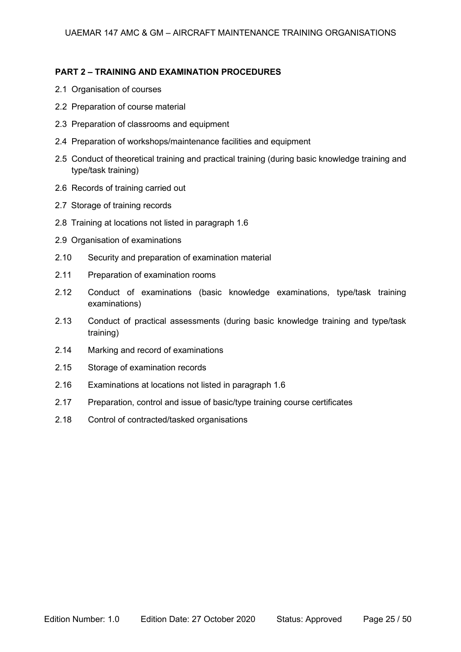#### **PART 2 – TRAINING AND EXAMINATION PROCEDURES**

- 2.1 Organisation of courses
- 2.2 Preparation of course material
- 2.3 Preparation of classrooms and equipment
- 2.4 Preparation of workshops/maintenance facilities and equipment
- 2.5 Conduct of theoretical training and practical training (during basic knowledge training and type/task training)
- 2.6 Records of training carried out
- 2.7 Storage of training records
- 2.8 Training at locations not listed in paragraph 1.6
- 2.9 Organisation of examinations
- 2.10 Security and preparation of examination material
- 2.11 Preparation of examination rooms
- 2.12 Conduct of examinations (basic knowledge examinations, type/task training examinations)
- 2.13 Conduct of practical assessments (during basic knowledge training and type/task training)
- 2.14 Marking and record of examinations
- 2.15 Storage of examination records
- 2.16 Examinations at locations not listed in paragraph 1.6
- 2.17 Preparation, control and issue of basic/type training course certificates
- 2.18 Control of contracted/tasked organisations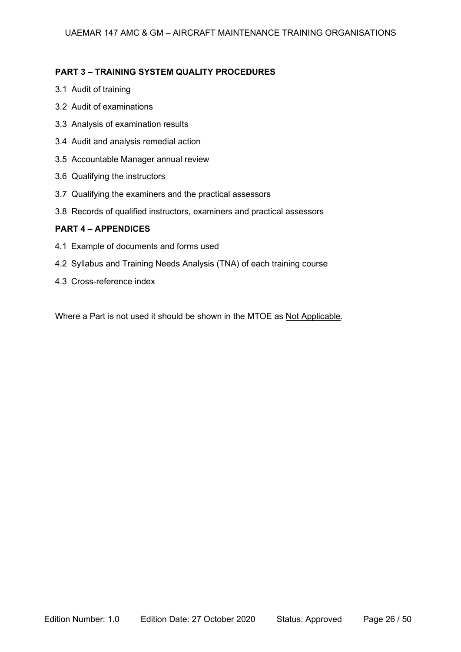#### **PART 3 – TRAINING SYSTEM QUALITY PROCEDURES**

- 3.1 Audit of training
- 3.2 Audit of examinations
- 3.3 Analysis of examination results
- 3.4 Audit and analysis remedial action
- 3.5 Accountable Manager annual review
- 3.6 Qualifying the instructors
- 3.7 Qualifying the examiners and the practical assessors
- 3.8 Records of qualified instructors, examiners and practical assessors

#### **PART 4 – APPENDICES**

- 4.1 Example of documents and forms used
- 4.2 Syllabus and Training Needs Analysis (TNA) of each training course
- 4.3 Cross-reference index

Where a Part is not used it should be shown in the MTOE as Not Applicable.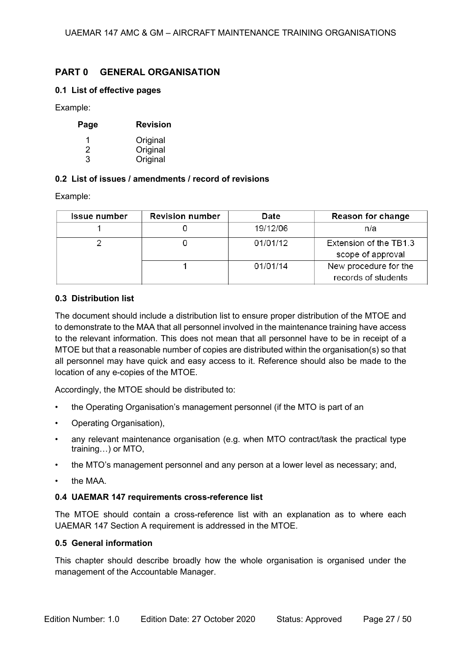#### <span id="page-26-0"></span>**PART 0 GENERAL ORGANISATION**

#### **0.1 List of effective pages**

Example:

| Page | <b>Revision</b> |
|------|-----------------|
| 1    | Original        |
| 2    | Original        |
| 3    | Original        |

#### **0.2 List of issues / amendments / record of revisions**

Example:

| <b>Issue number</b> | <b>Revision number</b> | Date     | <b>Reason for change</b>                    |
|---------------------|------------------------|----------|---------------------------------------------|
|                     |                        | 19/12/06 | n/a                                         |
|                     |                        | 01/01/12 | Extension of the TB1.3<br>scope of approval |
|                     |                        | 01/01/14 | New procedure for the                       |
|                     |                        |          | records of students                         |

#### **0.3 Distribution list**

The document should include a distribution list to ensure proper distribution of the MTOE and to demonstrate to the MAA that all personnel involved in the maintenance training have access to the relevant information. This does not mean that all personnel have to be in receipt of a MTOE but that a reasonable number of copies are distributed within the organisation(s) so that all personnel may have quick and easy access to it. Reference should also be made to the location of any e-copies of the MTOE.

Accordingly, the MTOE should be distributed to:

- the Operating Organisation's management personnel (if the MTO is part of an
- Operating Organisation),
- any relevant maintenance organisation (e.g. when MTO contract/task the practical type training…) or MTO,
- the MTO's management personnel and any person at a lower level as necessary; and,
- the MAA.

#### **0.4 UAEMAR 147 requirements cross-reference list**

The MTOE should contain a cross-reference list with an explanation as to where each UAEMAR 147 Section A requirement is addressed in the MTOE.

#### **0.5 General information**

This chapter should describe broadly how the whole organisation is organised under the management of the Accountable Manager.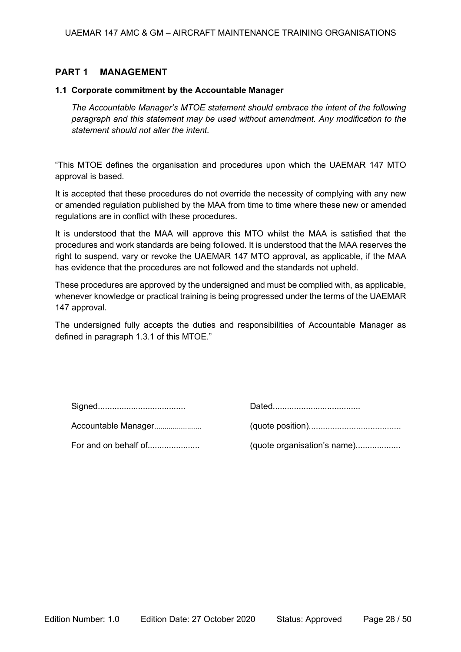#### <span id="page-27-0"></span>**PART 1 MANAGEMENT**

#### **1.1 Corporate commitment by the Accountable Manager**

*The Accountable Manager's MTOE statement should embrace the intent of the following paragraph and this statement may be used without amendment. Any modification to the statement should not alter the intent.*

"This MTOE defines the organisation and procedures upon which the UAEMAR 147 MTO approval is based.

It is accepted that these procedures do not override the necessity of complying with any new or amended regulation published by the MAA from time to time where these new or amended regulations are in conflict with these procedures.

It is understood that the MAA will approve this MTO whilst the MAA is satisfied that the procedures and work standards are being followed. It is understood that the MAA reserves the right to suspend, vary or revoke the UAEMAR 147 MTO approval, as applicable, if the MAA has evidence that the procedures are not followed and the standards not upheld.

These procedures are approved by the undersigned and must be complied with, as applicable, whenever knowledge or practical training is being progressed under the terms of the UAEMAR 147 approval.

The undersigned fully accepts the duties and responsibilities of Accountable Manager as defined in paragraph 1.3.1 of this MTOE."

| Accountable Manager  |                             |
|----------------------|-----------------------------|
| For and on behalf of | (quote organisation's name) |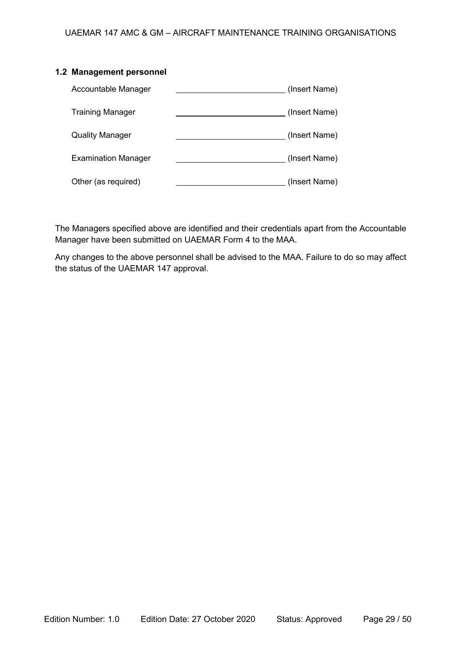#### **1.2 Management personnel**

| Accountable Manager        | (Insert Name) |
|----------------------------|---------------|
| <b>Training Manager</b>    | (Insert Name) |
| <b>Quality Manager</b>     | (Insert Name) |
| <b>Examination Manager</b> | (Insert Name) |
| Other (as required)        | (Insert Name) |

The Managers specified above are identified and their credentials apart from the Accountable Manager have been submitted on UAEMAR Form 4 to the MAA.

Any changes to the above personnel shall be advised to the MAA. Failure to do so may affect the status of the UAEMAR 147 approval.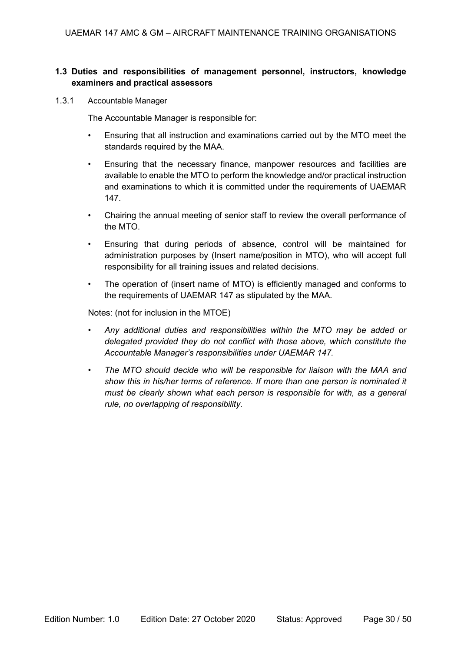#### **1.3 Duties and responsibilities of management personnel, instructors, knowledge examiners and practical assessors**

1.3.1 Accountable Manager

The Accountable Manager is responsible for:

- Ensuring that all instruction and examinations carried out by the MTO meet the standards required by the MAA.
- Ensuring that the necessary finance, manpower resources and facilities are available to enable the MTO to perform the knowledge and/or practical instruction and examinations to which it is committed under the requirements of UAEMAR 147.
- Chairing the annual meeting of senior staff to review the overall performance of the MTO.
- Ensuring that during periods of absence, control will be maintained for administration purposes by (Insert name/position in MTO), who will accept full responsibility for all training issues and related decisions.
- The operation of (insert name of MTO) is efficiently managed and conforms to the requirements of UAEMAR 147 as stipulated by the MAA.

Notes: (not for inclusion in the MTOE)

- *Any additional duties and responsibilities within the MTO may be added or delegated provided they do not conflict with those above, which constitute the Accountable Manager's responsibilities under UAEMAR 147.*
- *The MTO should decide who will be responsible for liaison with the MAA and show this in his/her terms of reference. If more than one person is nominated it must be clearly shown what each person is responsible for with, as a general rule, no overlapping of responsibility.*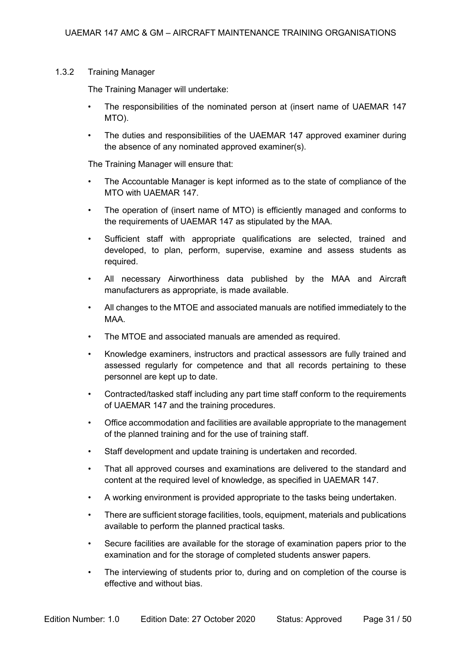#### 1.3.2 Training Manager

The Training Manager will undertake:

- The responsibilities of the nominated person at (insert name of UAEMAR 147 MTO).
- The duties and responsibilities of the UAEMAR 147 approved examiner during the absence of any nominated approved examiner(s).

The Training Manager will ensure that:

- The Accountable Manager is kept informed as to the state of compliance of the MTO with UAEMAR 147.
- The operation of (insert name of MTO) is efficiently managed and conforms to the requirements of UAEMAR 147 as stipulated by the MAA.
- Sufficient staff with appropriate qualifications are selected, trained and developed, to plan, perform, supervise, examine and assess students as required.
- All necessary Airworthiness data published by the MAA and Aircraft manufacturers as appropriate, is made available.
- All changes to the MTOE and associated manuals are notified immediately to the MAA.
- The MTOE and associated manuals are amended as required.
- Knowledge examiners, instructors and practical assessors are fully trained and assessed regularly for competence and that all records pertaining to these personnel are kept up to date.
- Contracted/tasked staff including any part time staff conform to the requirements of UAEMAR 147 and the training procedures.
- Office accommodation and facilities are available appropriate to the management of the planned training and for the use of training staff.
- Staff development and update training is undertaken and recorded.
- That all approved courses and examinations are delivered to the standard and content at the required level of knowledge, as specified in UAEMAR 147.
- A working environment is provided appropriate to the tasks being undertaken.
- There are sufficient storage facilities, tools, equipment, materials and publications available to perform the planned practical tasks.
- Secure facilities are available for the storage of examination papers prior to the examination and for the storage of completed students answer papers.
- The interviewing of students prior to, during and on completion of the course is effective and without bias.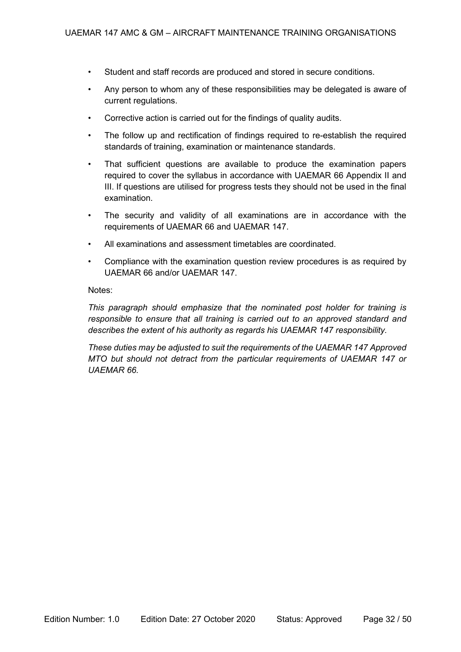- Student and staff records are produced and stored in secure conditions.
- Any person to whom any of these responsibilities may be delegated is aware of current regulations.
- Corrective action is carried out for the findings of quality audits.
- The follow up and rectification of findings required to re-establish the required standards of training, examination or maintenance standards.
- That sufficient questions are available to produce the examination papers required to cover the syllabus in accordance with UAEMAR 66 Appendix II and III. If questions are utilised for progress tests they should not be used in the final examination.
- The security and validity of all examinations are in accordance with the requirements of UAEMAR 66 and UAEMAR 147.
- All examinations and assessment timetables are coordinated.
- Compliance with the examination question review procedures is as required by UAEMAR 66 and/or UAEMAR 147.

Notes:

*This paragraph should emphasize that the nominated post holder for training is*  responsible to ensure that all training is carried out to an approved standard and *describes the extent of his authority as regards his UAEMAR 147 responsibility.*

*These duties may be adjusted to suit the requirements of the UAEMAR 147 Approved MTO but should not detract from the particular requirements of UAEMAR 147 or UAEMAR 66.*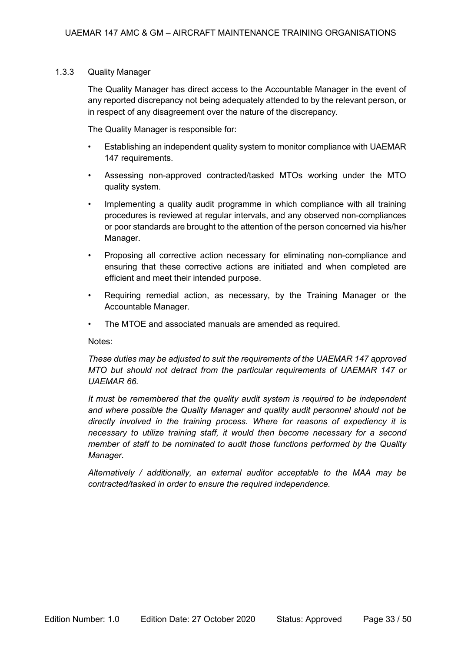#### 1.3.3 Quality Manager

The Quality Manager has direct access to the Accountable Manager in the event of any reported discrepancy not being adequately attended to by the relevant person, or in respect of any disagreement over the nature of the discrepancy.

The Quality Manager is responsible for:

- Establishing an independent quality system to monitor compliance with UAEMAR 147 requirements.
- Assessing non-approved contracted/tasked MTOs working under the MTO quality system.
- Implementing a quality audit programme in which compliance with all training procedures is reviewed at regular intervals, and any observed non-compliances or poor standards are brought to the attention of the person concerned via his/her Manager.
- Proposing all corrective action necessary for eliminating non-compliance and ensuring that these corrective actions are initiated and when completed are efficient and meet their intended purpose.
- Requiring remedial action, as necessary, by the Training Manager or the Accountable Manager.
- The MTOE and associated manuals are amended as required.

Notes:

*These duties may be adjusted to suit the requirements of the UAEMAR 147 approved MTO but should not detract from the particular requirements of UAEMAR 147 or UAEMAR 66.*

*It must be remembered that the quality audit system is required to be independent and where possible the Quality Manager and quality audit personnel should not be directly involved in the training process. Where for reasons of expediency it is necessary to utilize training staff, it would then become necessary for a second member of staff to be nominated to audit those functions performed by the Quality Manager.*

*Alternatively / additionally, an external auditor acceptable to the MAA may be contracted/tasked in order to ensure the required independence.*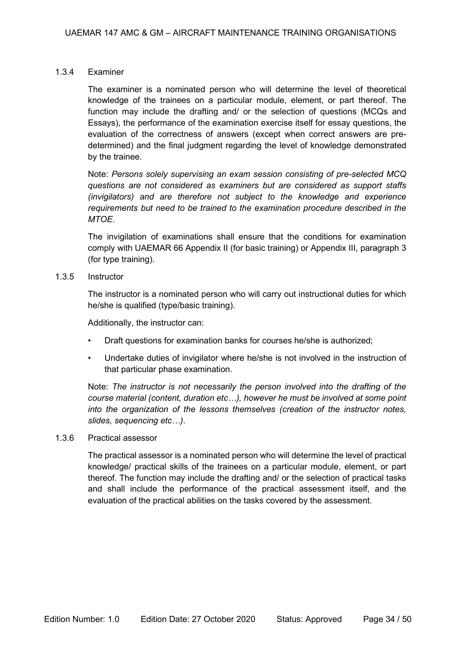#### 1.3.4 Examiner

The examiner is a nominated person who will determine the level of theoretical knowledge of the trainees on a particular module, element, or part thereof. The function may include the drafting and/ or the selection of questions (MCQs and Essays), the performance of the examination exercise itself for essay questions, the evaluation of the correctness of answers (except when correct answers are predetermined) and the final judgment regarding the level of knowledge demonstrated by the trainee.

Note: *Persons solely supervising an exam session consisting of pre-selected MCQ questions are not considered as examiners but are considered as support staffs (invigilators) and are therefore not subject to the knowledge and experience requirements but need to be trained to the examination procedure described in the MTOE*.

The invigilation of examinations shall ensure that the conditions for examination comply with UAEMAR 66 Appendix II (for basic training) or Appendix III, paragraph 3 (for type training).

1.3.5 Instructor

The instructor is a nominated person who will carry out instructional duties for which he/she is qualified (type/basic training).

Additionally, the instructor can:

- Draft questions for examination banks for courses he/she is authorized;
- Undertake duties of invigilator where he/she is not involved in the instruction of that particular phase examination.

Note: *The instructor is not necessarily the person involved into the drafting of the course material (content, duration etc…), however he must be involved at some point into the organization of the lessons themselves (creation of the instructor notes, slides, sequencing etc…)*.

#### 1.3.6 Practical assessor

The practical assessor is a nominated person who will determine the level of practical knowledge/ practical skills of the trainees on a particular module, element, or part thereof. The function may include the drafting and/ or the selection of practical tasks and shall include the performance of the practical assessment itself, and the evaluation of the practical abilities on the tasks covered by the assessment.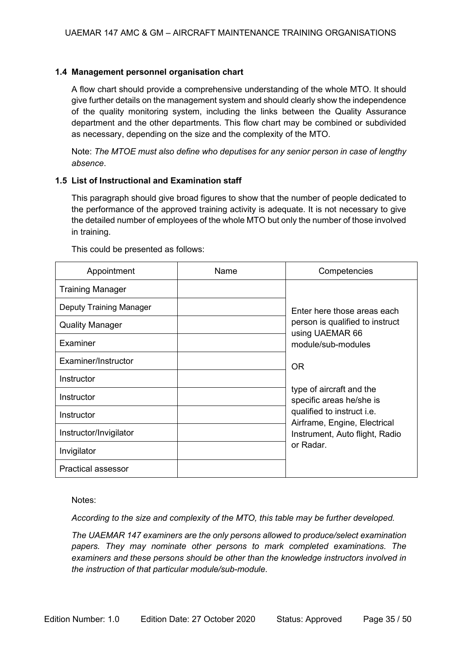#### **1.4 Management personnel organisation chart**

A flow chart should provide a comprehensive understanding of the whole MTO. It should give further details on the management system and should clearly show the independence of the quality monitoring system, including the links between the Quality Assurance department and the other departments. This flow chart may be combined or subdivided as necessary, depending on the size and the complexity of the MTO.

Note: *The MTOE must also define who deputises for any senior person in case of lengthy absence*.

#### **1.5 List of Instructional and Examination staff**

This paragraph should give broad figures to show that the number of people dedicated to the performance of the approved training activity is adequate. It is not necessary to give the detailed number of employees of the whole MTO but only the number of those involved in training.

| Appointment                    | Name | Competencies                                               |
|--------------------------------|------|------------------------------------------------------------|
| <b>Training Manager</b>        |      |                                                            |
| <b>Deputy Training Manager</b> |      | Enter here those areas each                                |
| <b>Quality Manager</b>         |      | person is qualified to instruct<br>using UAEMAR 66         |
| Examiner                       |      | module/sub-modules                                         |
| Examiner/Instructor            |      | <b>OR</b>                                                  |
| Instructor                     |      |                                                            |
| Instructor                     |      | type of aircraft and the<br>specific areas he/she is       |
| Instructor                     |      | qualified to instruct i.e.<br>Airframe, Engine, Electrical |
| Instructor/Invigilator         |      | Instrument, Auto flight, Radio                             |
| Invigilator                    |      | or Radar.                                                  |
| <b>Practical assessor</b>      |      |                                                            |

This could be presented as follows:

Notes:

*According to the size and complexity of the MTO, this table may be further developed.*

*The UAEMAR 147 examiners are the only persons allowed to produce/select examination papers. They may nominate other persons to mark completed examinations. The examiners and these persons should be other than the knowledge instructors involved in the instruction of that particular module/sub-module*.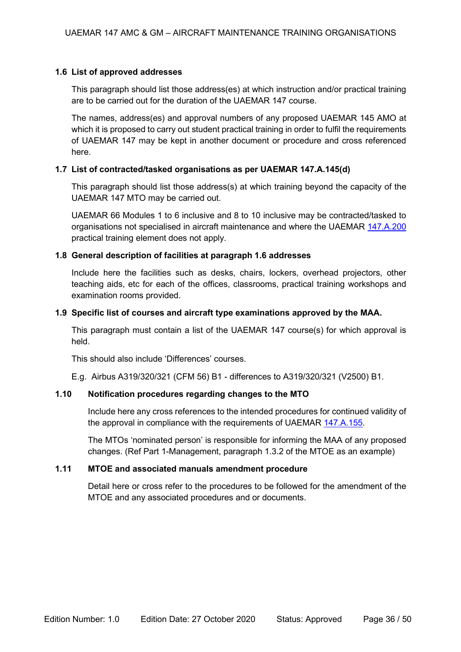#### **1.6 List of approved addresses**

This paragraph should list those address(es) at which instruction and/or practical training are to be carried out for the duration of the UAEMAR 147 course.

The names, address(es) and approval numbers of any proposed UAEMAR 145 AMO at which it is proposed to carry out student practical training in order to fulfil the requirements of UAEMAR 147 may be kept in another document or procedure and cross referenced here.

#### **1.7 List of contracted/tasked organisations as per UAEMAR 147.A.145(d)**

This paragraph should list those address(s) at which training beyond the capacity of the UAEMAR 147 MTO may be carried out.

UAEMAR 66 Modules 1 to 6 inclusive and 8 to 10 inclusive may be contracted/tasked to organisations not specialised in aircraft maintenance and where the UAEMAR 147.A.200 practical training element does not apply.

#### **1.8 General description of facilities at paragraph 1.6 addresses**

Include here the facilities such as desks, chairs, lockers, overhead projectors, other teaching aids, etc for each of the offices, classrooms, practical training workshops and examination rooms provided.

#### **1.9 Specific list of courses and aircraft type examinations approved by the MAA.**

This paragraph must contain a list of the UAEMAR 147 course(s) for which approval is held.

This should also include 'Differences' courses.

E.g. Airbus A319/320/321 (CFM 56) B1 - differences to A319/320/321 (V2500) B1.

#### **1.10 Notification procedures regarding changes to the MTO**

Include here any cross references to the intended procedures for continued validity of the approval in compliance with the requirements of UAEMAR 147.A.155.

The MTOs 'nominated person' is responsible for informing the MAA of any proposed changes. (Ref Part 1-Management, paragraph 1.3.2 of the MTOE as an example)

#### **1.11 MTOE and associated manuals amendment procedure**

Detail here or cross refer to the procedures to be followed for the amendment of the MTOE and any associated procedures and or documents.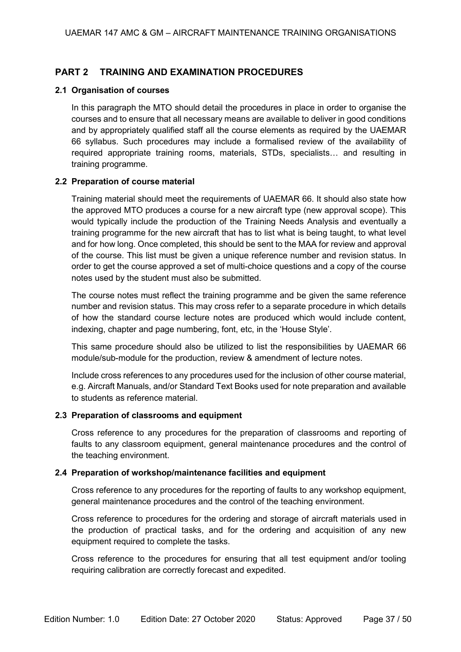#### <span id="page-36-0"></span>**PART 2 TRAINING AND EXAMINATION PROCEDURES**

#### **2.1 Organisation of courses**

In this paragraph the MTO should detail the procedures in place in order to organise the courses and to ensure that all necessary means are available to deliver in good conditions and by appropriately qualified staff all the course elements as required by the UAEMAR 66 syllabus. Such procedures may include a formalised review of the availability of required appropriate training rooms, materials, STDs, specialists… and resulting in training programme.

#### **2.2 Preparation of course material**

Training material should meet the requirements of UAEMAR 66. It should also state how the approved MTO produces a course for a new aircraft type (new approval scope). This would typically include the production of the Training Needs Analysis and eventually a training programme for the new aircraft that has to list what is being taught, to what level and for how long. Once completed, this should be sent to the MAA for review and approval of the course. This list must be given a unique reference number and revision status. In order to get the course approved a set of multi-choice questions and a copy of the course notes used by the student must also be submitted.

The course notes must reflect the training programme and be given the same reference number and revision status. This may cross refer to a separate procedure in which details of how the standard course lecture notes are produced which would include content, indexing, chapter and page numbering, font, etc, in the 'House Style'.

This same procedure should also be utilized to list the responsibilities by UAEMAR 66 module/sub-module for the production, review & amendment of lecture notes.

Include cross references to any procedures used for the inclusion of other course material, e.g. Aircraft Manuals, and/or Standard Text Books used for note preparation and available to students as reference material.

#### **2.3 Preparation of classrooms and equipment**

Cross reference to any procedures for the preparation of classrooms and reporting of faults to any classroom equipment, general maintenance procedures and the control of the teaching environment.

#### **2.4 Preparation of workshop/maintenance facilities and equipment**

Cross reference to any procedures for the reporting of faults to any workshop equipment, general maintenance procedures and the control of the teaching environment.

Cross reference to procedures for the ordering and storage of aircraft materials used in the production of practical tasks, and for the ordering and acquisition of any new equipment required to complete the tasks.

Cross reference to the procedures for ensuring that all test equipment and/or tooling requiring calibration are correctly forecast and expedited.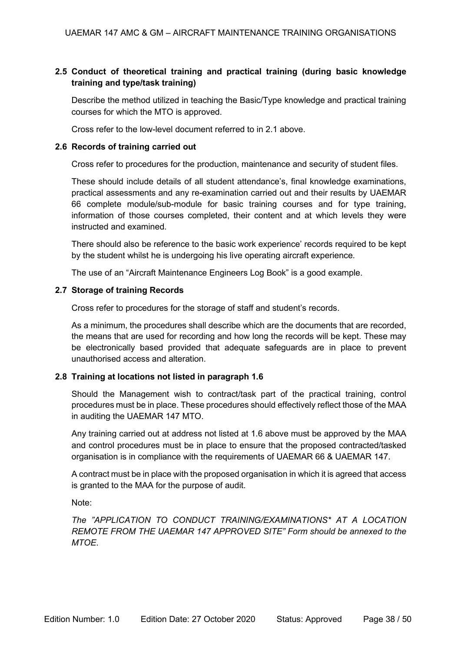#### **2.5 Conduct of theoretical training and practical training (during basic knowledge training and type/task training)**

Describe the method utilized in teaching the Basic/Type knowledge and practical training courses for which the MTO is approved.

Cross refer to the low-level document referred to in 2.1 above.

#### **2.6 Records of training carried out**

Cross refer to procedures for the production, maintenance and security of student files.

These should include details of all student attendance's, final knowledge examinations, practical assessments and any re-examination carried out and their results by UAEMAR 66 complete module/sub-module for basic training courses and for type training, information of those courses completed, their content and at which levels they were instructed and examined.

There should also be reference to the basic work experience' records required to be kept by the student whilst he is undergoing his live operating aircraft experience.

The use of an "Aircraft Maintenance Engineers Log Book" is a good example.

#### **2.7 Storage of training Records**

Cross refer to procedures for the storage of staff and student's records.

As a minimum, the procedures shall describe which are the documents that are recorded, the means that are used for recording and how long the records will be kept. These may be electronically based provided that adequate safeguards are in place to prevent unauthorised access and alteration.

#### **2.8 Training at locations not listed in paragraph 1.6**

Should the Management wish to contract/task part of the practical training, control procedures must be in place. These procedures should effectively reflect those of the MAA in auditing the UAEMAR 147 MTO.

Any training carried out at address not listed at 1.6 above must be approved by the MAA and control procedures must be in place to ensure that the proposed contracted/tasked organisation is in compliance with the requirements of UAEMAR 66 & UAEMAR 147.

A contract must be in place with the proposed organisation in which it is agreed that access is granted to the MAA for the purpose of audit.

Note:

*The "APPLICATION TO CONDUCT TRAINING/EXAMINATIONS\* AT A LOCATION REMOTE FROM THE UAEMAR 147 APPROVED SITE" Form should be annexed to the MTOE*.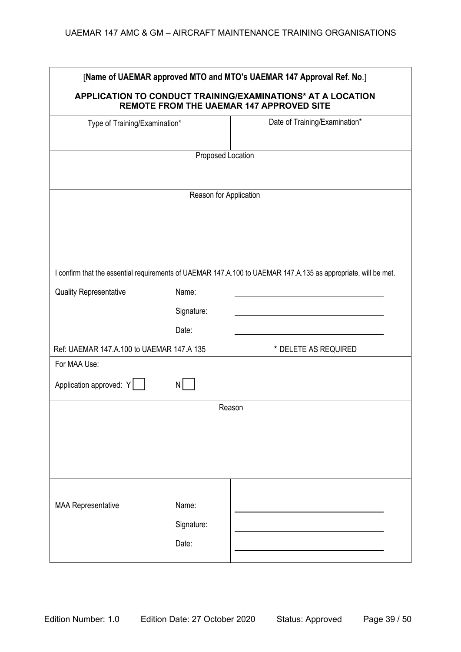| [Name of UAEMAR approved MTO and MTO's UAEMAR 147 Approval Ref. No.]                                           |                        |                                                                                                                |  |
|----------------------------------------------------------------------------------------------------------------|------------------------|----------------------------------------------------------------------------------------------------------------|--|
| APPLICATION TO CONDUCT TRAINING/EXAMINATIONS* AT A LOCATION<br><b>REMOTE FROM THE UAEMAR 147 APPROVED SITE</b> |                        |                                                                                                                |  |
| Type of Training/Examination*                                                                                  |                        | Date of Training/Examination*                                                                                  |  |
|                                                                                                                |                        |                                                                                                                |  |
|                                                                                                                | Proposed Location      |                                                                                                                |  |
|                                                                                                                |                        |                                                                                                                |  |
|                                                                                                                | Reason for Application |                                                                                                                |  |
|                                                                                                                |                        |                                                                                                                |  |
|                                                                                                                |                        |                                                                                                                |  |
|                                                                                                                |                        |                                                                                                                |  |
|                                                                                                                |                        | I confirm that the essential requirements of UAEMAR 147.A.100 to UAEMAR 147.A.135 as appropriate, will be met. |  |
| <b>Quality Representative</b>                                                                                  | Name:                  |                                                                                                                |  |
|                                                                                                                | Signature:             |                                                                                                                |  |
|                                                                                                                | Date:                  |                                                                                                                |  |
| Ref: UAEMAR 147.A.100 to UAEMAR 147.A 135<br>For MAA Use:                                                      |                        | * DELETE AS REQUIRED                                                                                           |  |
| Application approved: Y                                                                                        | N.                     |                                                                                                                |  |
|                                                                                                                |                        | Reason                                                                                                         |  |
|                                                                                                                |                        |                                                                                                                |  |
|                                                                                                                |                        |                                                                                                                |  |
|                                                                                                                |                        |                                                                                                                |  |
|                                                                                                                |                        |                                                                                                                |  |
| <b>MAA Representative</b>                                                                                      | Name:                  |                                                                                                                |  |
|                                                                                                                | Signature:             |                                                                                                                |  |
|                                                                                                                | Date:                  |                                                                                                                |  |
|                                                                                                                |                        |                                                                                                                |  |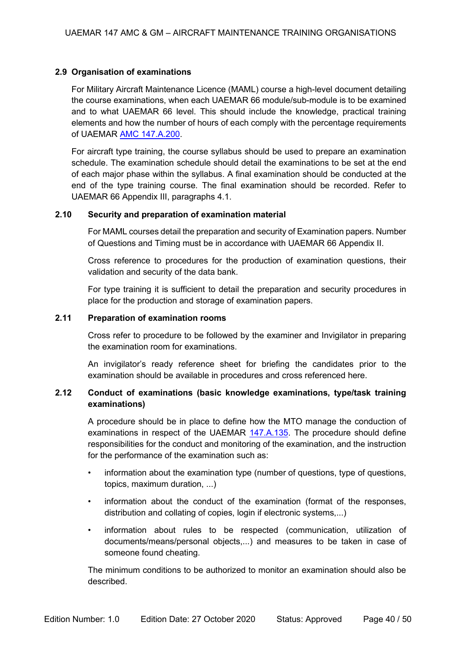#### **2.9 Organisation of examinations**

For Military Aircraft Maintenance Licence (MAML) course a high-level document detailing the course examinations, when each UAEMAR 66 module/sub-module is to be examined and to what UAEMAR 66 level. This should include the knowledge, practical training elements and how the number of hours of each comply with the percentage requirements of UAEMAR AMC 147.A.200.

For aircraft type training, the course syllabus should be used to prepare an examination schedule. The examination schedule should detail the examinations to be set at the end of each major phase within the syllabus. A final examination should be conducted at the end of the type training course. The final examination should be recorded. Refer to UAEMAR 66 Appendix III, paragraphs 4.1.

#### **2.10 Security and preparation of examination material**

For MAML courses detail the preparation and security of Examination papers. Number of Questions and Timing must be in accordance with UAEMAR 66 Appendix II.

Cross reference to procedures for the production of examination questions, their validation and security of the data bank.

For type training it is sufficient to detail the preparation and security procedures in place for the production and storage of examination papers.

#### **2.11 Preparation of examination rooms**

Cross refer to procedure to be followed by the examiner and Invigilator in preparing the examination room for examinations.

An invigilator's ready reference sheet for briefing the candidates prior to the examination should be available in procedures and cross referenced here.

#### **2.12 Conduct of examinations (basic knowledge examinations, type/task training examinations)**

A procedure should be in place to define how the MTO manage the conduction of examinations in respect of the UAEMAR 147.A.135. The procedure should define responsibilities for the conduct and monitoring of the examination, and the instruction for the performance of the examination such as:

- information about the examination type (number of questions, type of questions, topics, maximum duration, ...)
- information about the conduct of the examination (format of the responses, distribution and collating of copies, login if electronic systems,...)
- information about rules to be respected (communication, utilization of documents/means/personal objects,...) and measures to be taken in case of someone found cheating.

The minimum conditions to be authorized to monitor an examination should also be described.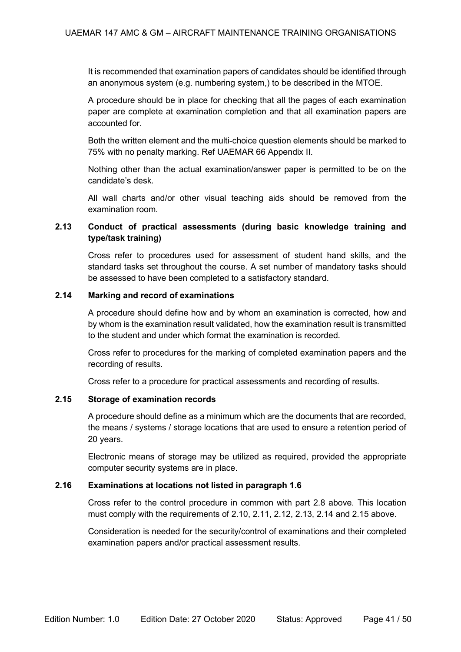It is recommended that examination papers of candidates should be identified through an anonymous system (e.g. numbering system,) to be described in the MTOE.

A procedure should be in place for checking that all the pages of each examination paper are complete at examination completion and that all examination papers are accounted for.

Both the written element and the multi-choice question elements should be marked to 75% with no penalty marking. Ref UAEMAR 66 Appendix II.

Nothing other than the actual examination/answer paper is permitted to be on the candidate's desk.

All wall charts and/or other visual teaching aids should be removed from the examination room.

#### **2.13 Conduct of practical assessments (during basic knowledge training and type/task training)**

Cross refer to procedures used for assessment of student hand skills, and the standard tasks set throughout the course. A set number of mandatory tasks should be assessed to have been completed to a satisfactory standard.

#### **2.14 Marking and record of examinations**

A procedure should define how and by whom an examination is corrected, how and by whom is the examination result validated, how the examination result is transmitted to the student and under which format the examination is recorded.

Cross refer to procedures for the marking of completed examination papers and the recording of results.

Cross refer to a procedure for practical assessments and recording of results.

#### **2.15 Storage of examination records**

A procedure should define as a minimum which are the documents that are recorded, the means / systems / storage locations that are used to ensure a retention period of 20 years.

Electronic means of storage may be utilized as required, provided the appropriate computer security systems are in place.

#### **2.16 Examinations at locations not listed in paragraph 1.6**

Cross refer to the control procedure in common with part 2.8 above. This location must comply with the requirements of 2.10, 2.11, 2.12, 2.13, 2.14 and 2.15 above.

Consideration is needed for the security/control of examinations and their completed examination papers and/or practical assessment results.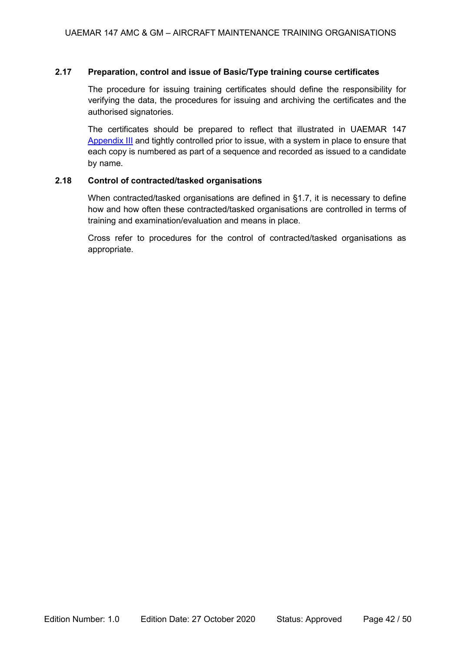#### **2.17 Preparation, control and issue of Basic/Type training course certificates**

The procedure for issuing training certificates should define the responsibility for verifying the data, the procedures for issuing and archiving the certificates and the authorised signatories.

The certificates should be prepared to reflect that illustrated in UAEMAR 147 Appendix III and tightly controlled prior to issue, with a system in place to ensure that each copy is numbered as part of a sequence and recorded as issued to a candidate by name.

#### **2.18 Control of contracted/tasked organisations**

When contracted/tasked organisations are defined in §1.7, it is necessary to define how and how often these contracted/tasked organisations are controlled in terms of training and examination/evaluation and means in place.

Cross refer to procedures for the control of contracted/tasked organisations as appropriate.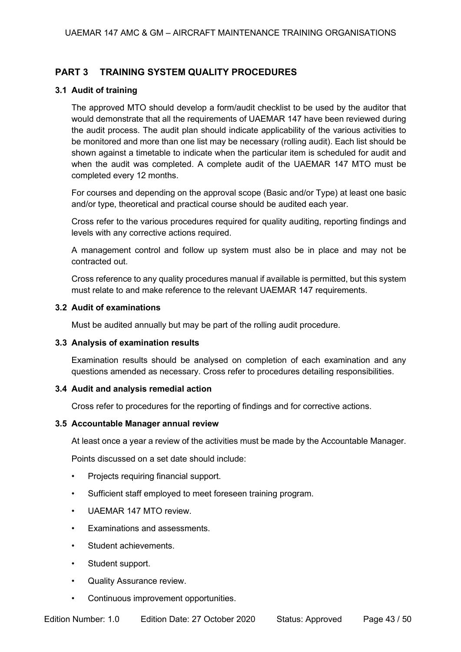#### <span id="page-42-0"></span>**PART 3 TRAINING SYSTEM QUALITY PROCEDURES**

#### **3.1 Audit of training**

The approved MTO should develop a form/audit checklist to be used by the auditor that would demonstrate that all the requirements of UAEMAR 147 have been reviewed during the audit process. The audit plan should indicate applicability of the various activities to be monitored and more than one list may be necessary (rolling audit). Each list should be shown against a timetable to indicate when the particular item is scheduled for audit and when the audit was completed. A complete audit of the UAEMAR 147 MTO must be completed every 12 months.

For courses and depending on the approval scope (Basic and/or Type) at least one basic and/or type, theoretical and practical course should be audited each year.

Cross refer to the various procedures required for quality auditing, reporting findings and levels with any corrective actions required.

A management control and follow up system must also be in place and may not be contracted out.

Cross reference to any quality procedures manual if available is permitted, but this system must relate to and make reference to the relevant UAEMAR 147 requirements.

#### **3.2 Audit of examinations**

Must be audited annually but may be part of the rolling audit procedure.

#### **3.3 Analysis of examination results**

Examination results should be analysed on completion of each examination and any questions amended as necessary. Cross refer to procedures detailing responsibilities.

#### **3.4 Audit and analysis remedial action**

Cross refer to procedures for the reporting of findings and for corrective actions.

#### **3.5 Accountable Manager annual review**

At least once a year a review of the activities must be made by the Accountable Manager.

Points discussed on a set date should include:

- Projects requiring financial support.
- Sufficient staff employed to meet foreseen training program.
- UAEMAR 147 MTO review.
- Examinations and assessments.
- Student achievements.
- Student support.
- Quality Assurance review.
- Continuous improvement opportunities.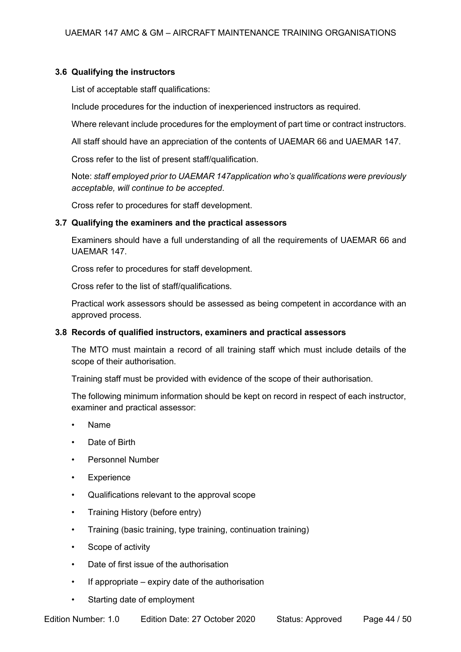#### **3.6 Qualifying the instructors**

List of acceptable staff qualifications:

Include procedures for the induction of inexperienced instructors as required.

Where relevant include procedures for the employment of part time or contract instructors.

All staff should have an appreciation of the contents of UAEMAR 66 and UAEMAR 147.

Cross refer to the list of present staff/qualification.

Note: *staff employed prior to UAEMAR 147application who's qualifications were previously acceptable, will continue to be accepted*.

Cross refer to procedures for staff development.

#### **3.7 Qualifying the examiners and the practical assessors**

Examiners should have a full understanding of all the requirements of UAEMAR 66 and UAEMAR 147.

Cross refer to procedures for staff development.

Cross refer to the list of staff/qualifications.

Practical work assessors should be assessed as being competent in accordance with an approved process.

#### **3.8 Records of qualified instructors, examiners and practical assessors**

The MTO must maintain a record of all training staff which must include details of the scope of their authorisation.

Training staff must be provided with evidence of the scope of their authorisation.

The following minimum information should be kept on record in respect of each instructor, examiner and practical assessor:

- Name
- Date of Birth
- Personnel Number
- **Experience**
- Qualifications relevant to the approval scope
- Training History (before entry)
- Training (basic training, type training, continuation training)
- Scope of activity
- Date of first issue of the authorisation
- If appropriate  $-$  expiry date of the authorisation
- Starting date of employment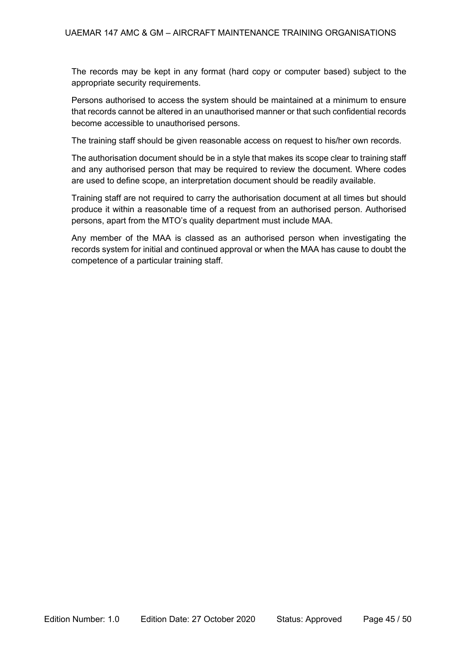The records may be kept in any format (hard copy or computer based) subject to the appropriate security requirements.

Persons authorised to access the system should be maintained at a minimum to ensure that records cannot be altered in an unauthorised manner or that such confidential records become accessible to unauthorised persons.

The training staff should be given reasonable access on request to his/her own records.

The authorisation document should be in a style that makes its scope clear to training staff and any authorised person that may be required to review the document. Where codes are used to define scope, an interpretation document should be readily available.

Training staff are not required to carry the authorisation document at all times but should produce it within a reasonable time of a request from an authorised person. Authorised persons, apart from the MTO's quality department must include MAA.

Any member of the MAA is classed as an authorised person when investigating the records system for initial and continued approval or when the MAA has cause to doubt the competence of a particular training staff.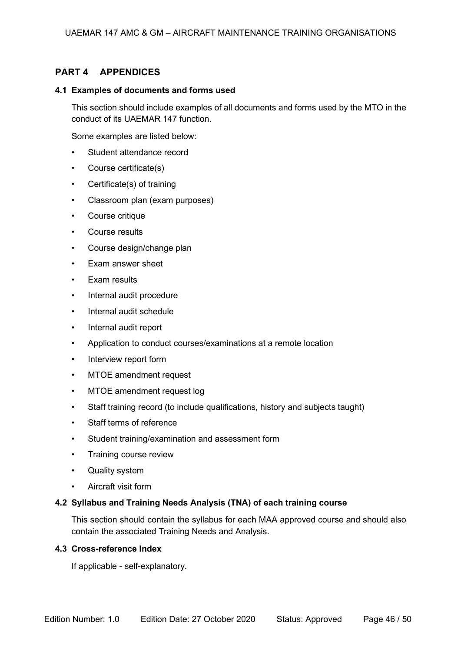#### <span id="page-45-0"></span>**PART 4 APPENDICES**

#### **4.1 Examples of documents and forms used**

This section should include examples of all documents and forms used by the MTO in the conduct of its UAEMAR 147 function.

Some examples are listed below:

- Student attendance record
- Course certificate(s)
- Certificate(s) of training
- Classroom plan (exam purposes)
- Course critique
- Course results
- Course design/change plan
- Exam answer sheet
- Exam results
- Internal audit procedure
- Internal audit schedule
- Internal audit report
- Application to conduct courses/examinations at a remote location
- Interview report form
- MTOE amendment request
- MTOE amendment request log
- Staff training record (to include qualifications, history and subjects taught)
- Staff terms of reference
- Student training/examination and assessment form
- Training course review
- Quality system
- Aircraft visit form

#### **4.2 Syllabus and Training Needs Analysis (TNA) of each training course**

This section should contain the syllabus for each MAA approved course and should also contain the associated Training Needs and Analysis.

#### **4.3 Cross-reference Index**

If applicable - self-explanatory.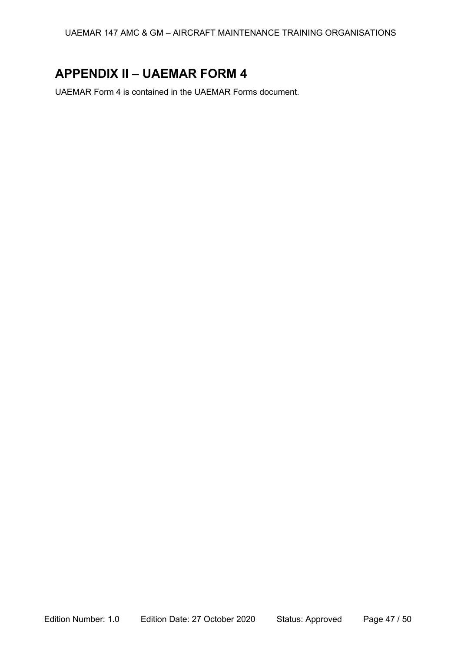### <span id="page-46-0"></span>**APPENDIX II – UAEMAR FORM 4**

UAEMAR Form 4 is contained in the UAEMAR Forms document.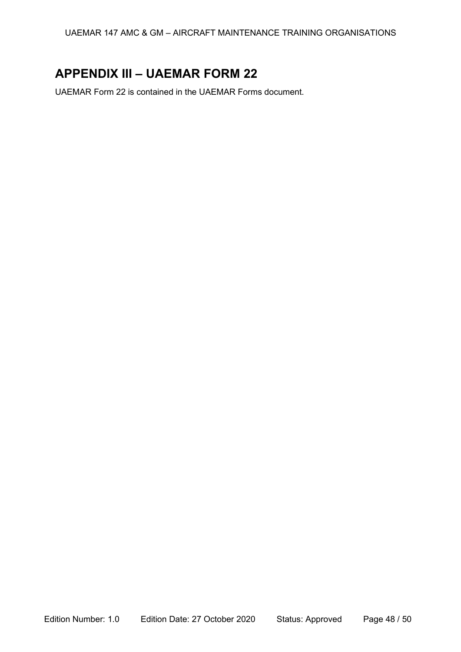### <span id="page-47-0"></span>**APPENDIX III – UAEMAR FORM 22**

UAEMAR Form 22 is contained in the UAEMAR Forms document.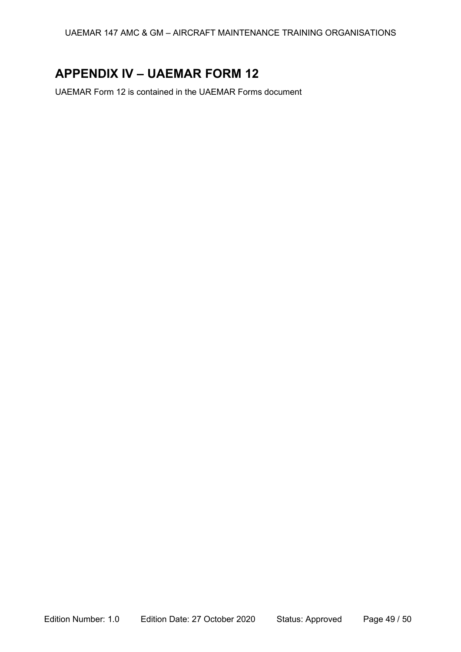### <span id="page-48-0"></span>**APPENDIX IV – UAEMAR FORM 12**

UAEMAR Form 12 is contained in the UAEMAR Forms document